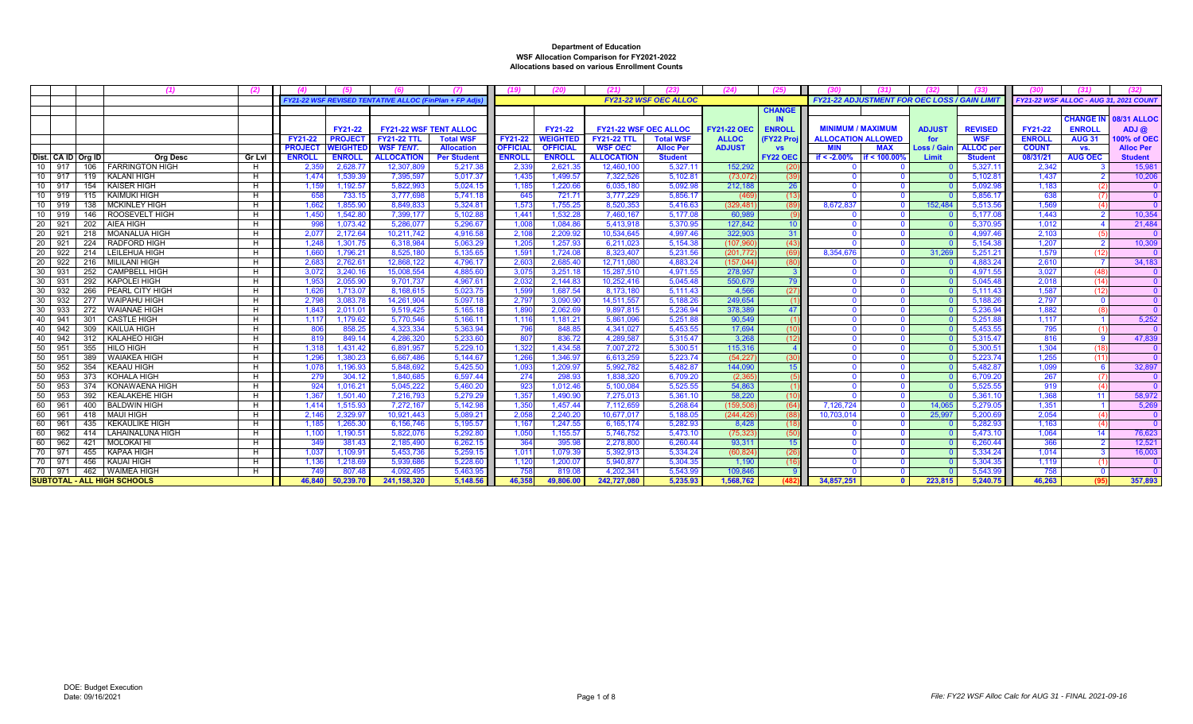|                        |     |     |                                    |               |                |                 | <b>FY21-22 WSF REVISED TENTATIVE ALLOC (FinPlan + FP A)</b> |                    |                 |                 |                              | <b>FY21-22 WSF OEC ALLOC</b> |                    |                  | <b>FY21-22 ADJUSTMENT FOR OEC LOSS / GAIN LIMIT</b> |              |               |                   |               | <b>FY21-22 WSF ALLOC - AUG 31. 2021 COUN</b> |                    |
|------------------------|-----|-----|------------------------------------|---------------|----------------|-----------------|-------------------------------------------------------------|--------------------|-----------------|-----------------|------------------------------|------------------------------|--------------------|------------------|-----------------------------------------------------|--------------|---------------|-------------------|---------------|----------------------------------------------|--------------------|
|                        |     |     |                                    |               |                |                 |                                                             |                    |                 |                 |                              |                              |                    | <b>CHANGE</b>    |                                                     |              |               |                   |               |                                              |                    |
|                        |     |     |                                    |               |                |                 |                                                             |                    |                 |                 |                              |                              |                    | <b>IN</b>        |                                                     |              |               |                   |               | <b>CHANGE IN</b>                             | <b>08/31 ALLOC</b> |
|                        |     |     |                                    |               |                | <b>FY21-22</b>  | <b>FY21-22 WSF TENT ALLOC</b>                               |                    |                 | FY21-22         | <b>FY21-22 WSF OEC ALLOC</b> |                              | <b>FY21-22 OEC</b> | <b>ENROLL</b>    | <b>MINIMUM / MAXIMUM</b>                            |              | <b>ADJUST</b> | <b>REVISED</b>    | FY21-22       | <b>ENROLL</b>                                | $ADJ$ $@$          |
|                        |     |     |                                    |               | <b>FY21-22</b> | <b>PROJECT</b>  | <b>FY21-22 TTL</b>                                          | <b>Total WSF</b>   | FY21-22         | <b>WEIGHTED</b> | <b>FY21-22 TTL</b>           | <b>Total WSF</b>             | <b>ALLOC</b>       | <b>FY22 Proi</b> | <b>ALLOCATION ALLOWED</b>                           |              | for           | <b>WSF</b>        | <b>ENROLL</b> | <b>AUG 31</b>                                | 100% of OEC        |
|                        |     |     |                                    |               | <b>PROJECT</b> | <b>NEIGHTEI</b> | <b>WSF TENT.</b>                                            | <b>Allocation</b>  | <b>OFFICIAL</b> | <b>OFFICIAL</b> | <b>WSF OEC</b>               | <b>Alloc Per</b>             | <b>ADJUST</b>      | <b>VS</b>        | <b>MIN</b>                                          | <b>MAX</b>   | Loss / Gain   | <b>ALLOC</b> per  | <b>COUNT</b>  | VS.                                          | <b>Alloc Per</b>   |
| Dist. CA ID Ora ID     |     |     | <b>Org Desc</b>                    | <b>Gr Lvl</b> | <b>ENROLL</b>  | <b>ENROLL</b>   | <b>ALLOCATION</b>                                           | <b>Per Student</b> | <b>ENROLL</b>   | <b>ENROLL</b>   | <b>ALLOCATION</b>            | <b>Student</b>               |                    | <b>FY22 OEC</b>  | if $< -2.00\%$                                      | if < 100.00  | Limit         | <b>Student</b>    | 08/31/21      | <b>AUG OEC</b>                               | <b>Student</b>     |
| $10-1$<br>917          |     |     | 106   FARRINGTON HIGH              | H             | 2,35           | 2,628.7         | 12,307,809                                                  | 5,217.38           | 2,33            | 2,621.3         | 12.460.100                   | 5.327.1                      | 152.292            |                  |                                                     |              |               | 5,327.1           | 2,342         |                                              | 15,98              |
| 10 917                 |     |     | 119   KALANI HIGH                  | H             | 1,474          | 1.539.3         | 7.395.597                                                   | 5,017.37           | 1.435           | 1.499.57        | 7.322.526                    | 5.102.8                      | (73,072)           |                  |                                                     |              |               | $5.102.8^{\circ}$ | 1.437         |                                              | 10,206             |
| 10 917                 |     |     | 154 KAISER HIGH                    | H             | 1,159          | 1,192.5         | 5,822,993                                                   | 5,024.15           | 1,185           | 1,220.6         | 6,035,180                    | 5.092.9                      | 212,188            | 26               |                                                     |              |               | 5.092.98          | 1,183         |                                              |                    |
| 10 919                 |     |     | 115   KAIMUKI HIGH                 | H             | 658            | 733.1           | 3.777.698                                                   | 5.741.18           | 645             | 721.7           | 3.777.229                    | 5.856.1                      | (46)               | (13)             |                                                     |              |               | 5.856.1           | 638           |                                              |                    |
| $10-1$<br>919          |     |     | 138   MCKINLEY HIGH                | H             | 1,662          | 1,855.9         | 8,849,833                                                   | 5,324.8            | 1,573           | 1,755.25        | 8,520,353                    | 5,416.63                     | (329, 48)          |                  | 8.672.837                                           |              | 152.484       | 5,513.56          | 1.569         |                                              |                    |
| 10 <sup>1</sup><br>919 |     |     | 146   ROOSEVELT HIGH               | H             | 1,450          | 1.542.8         | 7.399.177                                                   | 5.102.88           | 1.44'           | 1.532.2         | 7.460.167                    | 5.177.08                     | 60,989             |                  |                                                     |              |               | 5.177.08          | 1.443         |                                              | 10.354             |
| 20 <sub>1</sub><br>921 |     |     | 202   AIEA HIGH                    | H             | 998            | 1,073.4         | 5,286,077                                                   | 5.296.67           | 1,008           | 1,084.8         | 5.413.918                    | 5.370.9                      | 127.842            | 10 <sup>10</sup> |                                                     |              |               | 5,370.95          | 1.012         |                                              | 21.48              |
| 20                     | 921 | 218 | <b>MOANALUA HIGH</b>               | H             | 2,07           | 2,172.64        | 10.211.742                                                  | 4.916.58           | 2,10            | 2,209.92        | 10,534,645                   | 4.997.46                     | 322.903            | 31               |                                                     |              |               | 4.997.46          | 2,103         |                                              |                    |
| 20<br>921              |     |     | 224   RADFORD HIGH                 | H             | 1,248          | 1,301.75        | 6,318,984                                                   | 5,063.29           | 1,205           | 1,257.9         | 6,211,023                    | 5.154.38                     | (107, 96)          | (43)             |                                                     |              |               | 5,154.38          | 1.207         | $\overline{2}$                               | 10,309             |
| 20<br>922              |     |     | 214   LEILEHUA HIGH                | H             | 1,660          | 1,796.2         | 8,525,180                                                   | 5,135.65           | 1,59'           | 1,724.0         | 8.323.407                    | 5.231.56                     | (201, 772)         |                  | 8.354.676                                           | $\Omega$     | 31.269        | 5,251.21          | 1.579         | (12)                                         |                    |
| 20<br>922              |     |     | 216   MILILANI HIGH                | H             | 2.68           | 2.762.6         | 12.868.122                                                  | 4.796.17           | 2.60            | 2.685.4         | 12.711.080                   | 4.883.2                      | (157.044)          | (80)             |                                                     |              |               | 4.883.24          | 2.610         |                                              | 34.183             |
| 30<br>931              |     | 252 | <b>CAMPBELL HIGH</b>               | H             | 3,07           | 3,240.1         | 15,008,554                                                  | 4,885.60           | 3,07            | 3,251.1         | 15,287,510                   | 4.971.55                     | 278.957            |                  |                                                     |              |               | 4.971.55          | 3,027         | (48)                                         |                    |
| 30<br>931              |     |     | 292 KAPOLEI HIGH                   | H             | 1,953          | 2.055.9         | 9.701.737                                                   | 4.967.61           | 2.032           | 2.144.8         | 10.252.416                   | 5.045.48                     | 550.679            | 79               |                                                     |              |               | 5.045.48          | 2.018         | (14)                                         |                    |
| 30<br>932              |     |     | 266 PEARL CITY HIGH                | H             | 1,626          | 1,713.0         | 8,168,615                                                   | 5,023.75           | 1,599           | 1,687.54        | 8,173,18                     | 5.111.43                     | 4.566              | (27)             | $\Omega$                                            |              |               | 5,111.43          | 1,587         | (12)                                         |                    |
| 30<br>932              |     |     | 277 WAIPAHU HIGH                   | H             | 2,79           | 3,083.7         | 14.261.904                                                  | 5.097.18           | 2,79            | 3,090.9         | 14.511.557                   | 5.188.2                      | 249.654            |                  | $\Omega$                                            |              |               | 5.188.26          | 2.797         |                                              |                    |
| 30<br>933              |     |     | 272 WAIANAE HIGH                   | H             | 1,843          | 2,011.0         | 9,519,425                                                   | 5,165.18           | 1,890           | 2,062.6         | 9,897,815                    | 5.236.94                     | 378.389            | 47               | $\Omega$                                            |              |               | 5.236.94          | 1,882         |                                              |                    |
| 40                     | 941 | 301 | <b>CASTLE HIGH</b>                 | H             | 1,11           | 1,179.6         | 5,770,546                                                   | 5,166.1'           | 1,116           | 1,181.21        | 5,861,096                    | 5,251.88                     | 90,549             |                  | $\Omega$                                            |              |               | 5,251.88          | 1.117         |                                              | 5,252              |
| 40<br>942              |     | 309 | <b>KAILUA HIGH</b>                 | H             | 806            | 858.2           | 4.323.334                                                   | 5.363.94           | 796             | 848.85          | 4.341.027                    | 5.453.55                     | 17.694             | (10)             | $\Omega$                                            |              |               | 5.453.55          | 795           |                                              |                    |
| 40                     | 942 |     | 312   KALAHEO HIGH                 | H             | 819            | 849.1           | 4,286,320                                                   | 5,233.60           | 807             | 836.7           | 4,289,587                    | 5,315.47                     | 3,268              | (12)             | $\Omega$                                            |              |               | 5,315.47          | 816           |                                              | 47,839             |
| 50<br>951              |     |     | 355 HILO HIGH                      | H             | 1,318          | 1.431.42        | 6.891.957                                                   | 5.229.10           | 1.322           | 1.434.58        | 7.007.272                    | 5.300.51                     | 115,316            | $\overline{4}$   | $\Omega$                                            |              |               | 5.300.5           | 1.304         | (18)                                         |                    |
| 50<br>951              |     | 389 | WAIAKEA HIGH                       | H             | 1,296          | 1,380.2         | 6,667,486                                                   | 5,144.67           | 1,266           | 1,346.9         | 6,613,259                    | 5,223.74                     | (54, 227)          | (30)             |                                                     |              |               | 5,223.74          | 1,255         | (11)                                         |                    |
| 952<br>50              |     |     | 354 KEAAU HIGH                     | H             | 1,078          | 1,196.9         | 5.848.692                                                   | 5.425.50           | 1.093           | 1.209.9         | 5.992.782                    | 5.482.87                     | 144,090            | 15               | $\sqrt{ }$                                          |              |               | 5.482.87          | 1.099         |                                              | 32.897             |
| 50<br>953              |     |     | 373 KOHALA HIGH                    | H             | 279            | 304.1           | 1.840.685                                                   | 6.597.44           | 274             | 298.9           | 1.838.320                    | 6.709.20                     | (2.36)             |                  |                                                     |              |               | 6.709.20          | 267           |                                              |                    |
| 953<br>50              |     |     | 374 KONAWAENA HIGH                 | H             | 924            | 1,016.21        | 5,045,222                                                   | 5,460.20           | 923             | 1,012.46        | 5,100,084                    | 5.525.55                     | 54,863             |                  | $\Omega$                                            |              |               | 5.525.55          | 919           |                                              |                    |
| 50<br>953              |     |     | 392   KEALAKEHE HIGH               | H             | 1,367          | 1,501.4         | 7.216.793                                                   | 5.279.29           | 1,357           | 1.490.90        | 7.275.013                    | 5.361.1                      | 58,220             |                  |                                                     |              |               | 5.361.1           | 1.368         | 11                                           | 58,972             |
| 60<br>961              |     |     | 400   BALDWIN HIGH                 | H             | 1,414          | 1,515.93        | 7,272,167                                                   | 5,142.98           | 1,350           | 1,457.44        | 7,112,659                    | 5,268.64                     | (159, 50           | (64)             | 7,126,724                                           | $\Omega$     | 14.065        | 5,279.05          | 1,351         |                                              | 5,269              |
| 60<br>961              |     |     | 418   MAUI HIGH                    | H             | 2,14           | 2,329.9         | 10.921.443                                                  | 5.089.2            | 2.058           | 2.240.2         | 10.677.01                    | 5.188.0                      | (244.42)           |                  | 10.703.01                                           |              | 25.997        | 5.200.6           | 2.054         |                                              |                    |
| 60<br>961              |     |     | 435   KEKAULIKE HIGH               | H             | 1,185          | 1,265.30        | 6,156,746                                                   | 5,195.57           | 1,167           | 1,247.55        | 6,165,174                    | 5.282.93                     | 8,428              |                  |                                                     |              |               | 5,282.93          | 1,163         |                                              |                    |
| 60<br>962              |     |     | 414   LAHAINALUNA HIGH             | H             | 1,100          | 1,190.5         | 5.822.076                                                   | 5.292.80           | 1,050           | 1,155.5         | 5.746.752                    | 5.473.10                     | (75.32)            | (50)             |                                                     |              |               | 5.473.1           | 1.064         | 14                                           | 76,623             |
| 962<br>60 l            |     | 421 | MOLOKAI HI                         | H             | 349            | 381.43          | 2.185.490                                                   | 6.262.15           | 364             | 395.98          | 2.278.800                    | 6.260.44                     | 93.311             | 15               |                                                     |              |               | 6.260.44          | 366           |                                              | 12,521             |
| 70<br>971              |     |     | 455 KAPAA HIGH                     | H             | 1,037          | 1,109.9         | 5.453.736                                                   | 5.259.15           | 1,01'           | 1,079.3         | 5.392.91                     | 5.334.24                     | (60.824)           | (26)             |                                                     |              |               | 5.334.24          | 1.014         |                                              | 16,003             |
| 70 971                 |     |     | 456 KAUAI HIGH                     | H             | 1,136          | 1.218.69        | 5.939.686                                                   | 5.228.60           | 1.120           | 1,200.0         | 5.940.877                    | 5.304.35                     | 1.190              | 116              |                                                     |              |               | 5.304.3           | 1.119         |                                              |                    |
| 70 971                 |     |     | 462 WAIMEA HIGH                    | H             | 749            | 807.4           | 4,092,495                                                   | 5,463.95           | 758             | 819.0           | 4,202,34                     | 5,543.99                     | 109,846            |                  |                                                     |              |               | 5,543.9           | 758           | - 0                                          |                    |
|                        |     |     | <b>SUBTOTAL - ALL HIGH SCHOOLS</b> |               | 46.840         | 50.239.7        | 241, 158, 320                                               | 5.148.56           | 46.358          | 49.806.00       | 242.727.08                   | 5.235.93                     | 1.568.762          |                  | 34.857.251                                          | $\mathbf{0}$ | 223.815       | 5.240.75          | 46.263        | (95)                                         | 357.893            |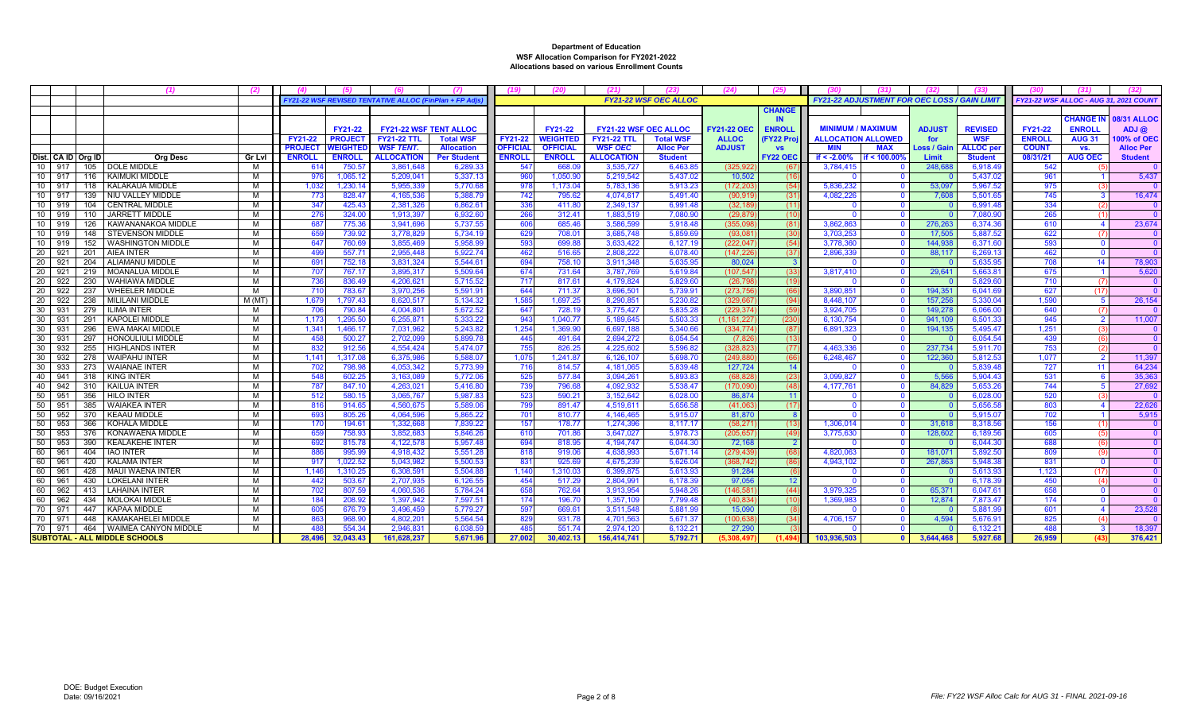|                    |     |     | (1)                                   |        |                |                 |                                                     |                    |                 |                 |                              |                              | (24)               | (25)             |                           |                                                     |               |                 |                                        |                  |                    |
|--------------------|-----|-----|---------------------------------------|--------|----------------|-----------------|-----------------------------------------------------|--------------------|-----------------|-----------------|------------------------------|------------------------------|--------------------|------------------|---------------------------|-----------------------------------------------------|---------------|-----------------|----------------------------------------|------------------|--------------------|
|                    |     |     |                                       |        |                |                 | FY21-22 WSF REVISED TENTATIVE ALLOC (FinPlan + FP A |                    |                 |                 |                              | <b>FY21-22 WSF OEC ALLOC</b> |                    |                  |                           | <b>FY21-22 ADJUSTMENT FOR OEC LOSS / GAIN LIMIT</b> |               |                 | FY21-22 WSF ALLOC - AUG 31, 2021 COUNT |                  |                    |
|                    |     |     |                                       |        |                |                 |                                                     |                    |                 |                 |                              |                              |                    | <b>CHANGE</b>    |                           |                                                     |               |                 |                                        |                  |                    |
|                    |     |     |                                       |        |                |                 |                                                     |                    |                 |                 |                              |                              |                    | <b>IN</b>        |                           |                                                     |               |                 |                                        | <b>CHANGE IN</b> | <b>08/31 ALLOC</b> |
|                    |     |     |                                       |        |                | <b>FY21-22</b>  | <b>FY21-22 WSF TENT ALLOC</b>                       |                    |                 | FY21-22         | <b>FY21-22 WSF OEC ALLOC</b> |                              | <b>FY21-22 OEC</b> | <b>ENROLI</b>    | <b>MINIMUM / MAXIMUM</b>  |                                                     | <b>ADJUST</b> | <b>REVISED</b>  | <b>FY21-22</b>                         | <b>ENROLL</b>    | ADJ@               |
|                    |     |     |                                       |        | FY21-22        | <b>PROJECT</b>  | <b>FY21-22 TTL</b>                                  | <b>Total WSF</b>   | <b>FY21-22</b>  | <b>WEIGHTED</b> | <b>FY21-22 TTL</b>           | <b>Total WSF</b>             | <b>ALLOC</b>       | <b>FY22 Proj</b> | <b>ALLOCATION ALLOWED</b> |                                                     | for           | <b>WSF</b>      | <b>ENROLL</b>                          | <b>AUG 31</b>    | 00% of OEC         |
|                    |     |     |                                       |        | <b>PROJECT</b> | <b>WEIGHTED</b> | <b>WSF TENT.</b>                                    | <b>Allocation</b>  | <b>OFFICIAL</b> | <b>OFFICIAL</b> | <b>WSF OEC</b>               | <b>Alloc Per</b>             | <b>ADJUST</b>      | <b>VS</b>        | <b>MIN</b>                | <b>MAX</b>                                          | Loss / Gair   | <b>ALLOC</b> pe | <b>COUNT</b>                           | VS.              | <b>Alloc Per</b>   |
| Dist. CA ID Org ID |     |     | <b>Org Desc</b>                       | Gr Lvl | <b>ENROLI</b>  | <b>ENROLL</b>   | <b>ALLOCATION</b>                                   | <b>Per Student</b> | <b>ENROLL</b>   | <b>ENROLL</b>   | <b>ALLOCATION</b>            | <b>Student</b>               |                    | <b>FY22 OEC</b>  | if $< -2.00\%$            | if < 100.00%                                        | Limit         | <b>Student</b>  | 08/31/21                               | <b>AUG OEC</b>   | <b>Student</b>     |
| 10                 | 917 |     | 105   DOLE MIDDLE                     | м      | 614            | 750.5           | 3,861,648                                           | 6.289.3            | 547             | 668.0           | 3,535,727                    | 6,463.8                      | (325.92)           | (67              | 3,784,415                 |                                                     | 248.68        | 6,918.49        | 542                                    |                  |                    |
| 10                 | 917 |     | 116   KAIMUKI MIDDLE                  | м      | 976            | 1.065.12        | 5.209.04'                                           | 5,337.13           | 960             | 1,050.90        | 5,219,542                    | 5,437.02                     | 10.502             | (16)             |                           |                                                     |               | 5,437.02        | 961                                    |                  | 5,437              |
| 10                 | 917 | 118 | KALAKAUA MIDDLE                       | м      | 1.032          | 1,230.14        | 5,955,339                                           | 5,770.68           | -978            | 1,173.04        | 5,783,136                    | 5,913.23                     | (172, 20)          | (54)             | 5,836,232                 |                                                     | 53,097        | 5,967.52        | 975                                    |                  | $\overline{0}$     |
| 10 <sup>1</sup>    | 917 | 139 | NIU VALLEY MIDDLE                     | м      | 773            | 828.47          | 4.165.536                                           | 5.388.79           | 742             | 795.62          | 4.074.617                    | 5.491.40                     | (90.91)            | (31)             | 4.082.226                 |                                                     | 7.608         | 5.501.65        | 745                                    |                  | 16.474             |
| 10 <sup>1</sup>    | 919 | 104 | <b>CENTRAL MIDDLE</b>                 | M      | 347            | 425.43          | 2.381.326                                           | 6.862.6'           | 336             | 411.8           | 2,349,137                    | 6.991.48                     | (32.18)            | (11)             |                           |                                                     |               | 6.991.48        | 334                                    |                  | $\overline{0}$     |
| 10                 | 919 | 110 | JARRETT MIDDLE                        | м      | 276            | 324.00          | 1,913,397                                           | 6.932.60           | 266             | 312.41          | 1,883,519                    | 7.080.90                     | (29.87)            | (10)             |                           |                                                     |               | 7.080.9         | 265                                    |                  | $\Omega$           |
| 10                 | 919 | 126 | KAWANANAKOA MIDDLE                    | м      | 687            | 775.36          | 3.941.69                                            | 5.737.55           | 606             | 685.46          | 3.586.599                    | 5.918.48                     | (355.09            | (81)             | 3.862.863                 |                                                     | 276.26        | 6.374.36        | 610                                    |                  | 23.674             |
| 10                 | 919 | 148 | <b>STEVENSON MIDDLE</b>               | м      | 659            | 739.92          | 3,778,829                                           | 5.734.1            | 629             | 708.01          | 3,685,748                    | 5.859.69                     | (93.08)            | (30)             | 3.703.253                 |                                                     | 17.505        | 5,887.52        | 622                                    |                  | $\mathbf{0}$       |
| 10                 | 919 | 152 | <b>WASHINGTON MIDDLE</b>              | м      | 647            | 760.69          | 3.855.46                                            | 5.958.99           | 593             | 699.88          | 3.633.422                    | 6.127.19                     | (222.04)           | (54)             | 3.778.360                 |                                                     | 144.938       | 6.371.60        | 593                                    |                  | $\overline{0}$     |
| 20                 | 921 | 201 | <b>AIEA INTER</b>                     | м      | 499            | 557.71          | 2,955,448                                           | 5.922.74           | 462             | 516.65          | 2,808,222                    | 6,078.40                     | (147, 22)          | (37)             | 2,896,339                 |                                                     | 88,117        | 6,269.1         | 462                                    |                  |                    |
| 20                 | 921 | 204 | ALIAMANU MIDDLE                       | M      | 691            | 752.18          | 3,831,324                                           | 5.544.6'           |                 | 758.10          | 3,911,348                    | 5.635.9                      | 80.024             |                  |                           |                                                     |               | 5.635.9         | 708                                    |                  | 78,903             |
| 20                 | 921 | 219 | MOANALUA MIDDLE                       | м      | 707            | 767.17          | 3,895,31                                            | 5,509.64           | 674             | 731.64          | 3,787,769                    | 5,619.8                      | (107, 54)          | (33)             | 3,817,410                 |                                                     | 29,641        | 5,663.8         | 675                                    |                  | 5,620              |
| -20                | 922 | 230 | <b>WAHIAWA MIDDLE</b>                 | м      | 736            | 836.49          | 4.206.621                                           | 5.715.52           | 717             | 817.61          | 4.179.824                    | 5.829.60                     | (26.79)            | (19)             |                           |                                                     |               | 5.829.6         | 710                                    |                  |                    |
| 20                 | 922 | 237 | <b>WHEELER MIDDLE</b>                 | M      | 710            | 783.67          | 3.970.256                                           | 5.591.9            | 644             | 711.37          | 3.696.501                    | 5.739.9                      | (273.75)           | (66)             | 3.890.851                 |                                                     | 194.35'       | 6.041.69        | 627                                    | (17)             | $\Omega$           |
| 20                 | 922 | 238 | MILILANI MIDDLE                       | M (MT  | 1,679          | 1,797.43        | 8,620,517                                           | 5.134.32           | 1,585           | 1,697.25        | 8,290,851                    | 5.230.82                     | (329.66)           | (94)             | 8.448.107                 |                                                     | 157,256       | 5,330.04        | 1.590                                  |                  | 26,154             |
| 30                 | 931 | 279 | <b>ILIMA INTER</b>                    | м      | 706            | 790.84          | 4,004,80                                            | 5.672.52           | 647             | 728.19          | 3,775,427                    | 5.835.28                     | (229, 37)          | (59              | 3,924,705                 |                                                     | 149.278       | 6,066.0         | 640                                    |                  | - 0                |
| 30                 | 931 | 291 | <b>KAPOLEI MIDDLE</b>                 | M      | 1.173          | 1.295.50        | 6.255.87                                            | 5.333.22           | 943             | 1,040.77        | 5,189,645                    | 5.503.33                     | (1.161.22)         | (230)            | 6,130,754                 |                                                     | 941.109       | 6.501.33        | 945                                    |                  | 11,007             |
| 30                 | 931 | 296 | <b>EWA MAKAI MIDDLE</b>               | м      | 1.341          | 1.466.17        | 7,031,962                                           | 5.243.82           | 1.254           | 1.369.90        | 6.697.188                    | 5.340.66                     | (334.77)           | (87)             | 6,891,323                 |                                                     | 194.135       | 5,495.47        | 1.251                                  |                  | $\overline{0}$     |
| 30                 | 931 | 297 | HONOULIULI MIDDLE                     | м      | 458            | 500.27          | 2,702,099                                           | 5,899.7            | 445             | 491.64          | 2,694,272                    | 6,054.54                     | (7.82)             | (13)             |                           |                                                     |               | 6,054.54        | 439                                    |                  |                    |
| 30                 | 932 | 255 | <b>HIGHLANDS INTER</b>                | M      | 832            | 912.56          | 4.554.424                                           | 5.474.07           | 755             | 826.25          | 4.225.602                    | 5.596.8                      | (328.82)           | (77)             | 4.463.336                 |                                                     | 237.734       | 5.911.70        | 753                                    |                  | $\Omega$           |
| 30                 | 932 | 278 | <b>WAIPAHU INTER</b>                  | M      | 1,141          | 1,317.08        | 6,375,98                                            | 5,588.07           | 1,075           | 1,241.87        | 6,126,107                    | 5,698.70                     | (249, 88)          | (66)             | 6,248,467                 |                                                     | 122,360       | 5,812.53        | 1,077                                  |                  | 11,397             |
| 30                 | 933 | 273 | WAIANAE INTER                         | м      | 702            | 798.98          | 4,053,342                                           | 5,773.99           | 716             | 814.57          | 4,181,065                    | 5,839.48                     | 127,724            | 14               |                           |                                                     |               | 5,839.48        | 727                                    |                  | 64,234             |
| 40                 | 941 | 318 | <b>KING INTER</b>                     | м      | 548            | 602.25          | 3,163,08                                            | 5.772.06           | 525             | 577.84          | 3,094,261                    | 5.893.83                     | (68.82)            | (23)             | 3.099.827                 |                                                     | 5.566         | 5.904.43        | 531                                    |                  | 35,363             |
| 40                 | 942 | 310 | <b>KAILUA INTER</b>                   | м      | 787            | 847.10          | 4,263,021                                           | 5,416.80           | 739             | 796.68          | 4,092,932                    | 5,538.47                     | (170,09)           | (48)             | 4,177,761                 |                                                     | 84,829        | 5,653.26        | 744                                    |                  | 27,692             |
| 50                 | 951 | 356 | <b>HILO INTER</b>                     | м      | 512            | 580.15          | 3.065.767                                           | 5.987.83           | 523             | 590.21          | 3.152.642                    | 6.028.00                     | 86,874             | $-11$            |                           |                                                     |               | 6.028.0         | 520                                    |                  | $\overline{0}$     |
| 50                 | 951 | 385 | <b>WAIAKEA INTER</b>                  | м      | 816            | 914.65          | 4.560.675                                           | 5.589.06           | 799             | 891.47          | 4.519.611                    | 5.656.58                     | (41.06)            | (17)             |                           | - 0                                                 |               | 5.656.58        | 803                                    |                  | 22.626             |
| 50                 | 952 | 370 | <b>KEAAU MIDDLE</b>                   | м      | 693            | 805.26          | 4.064.59                                            | 5.865.22           | 701             | 810.77          | 4.146.465                    | 5.915.07                     | 81.870             | -8               |                           |                                                     |               | 5.915.0         | 702                                    |                  | 5,915              |
| 50                 | 953 | 366 | KOHALA MIDDLE                         | м      | 170            | 194.61          | 1,332,668                                           | 7,839.22           | 157             | 178.77          | 1,274,396                    | 8,117.17                     | (58, 27)           | (13)             | 1,306,014                 |                                                     | 31,618        | 8,318.56        | 156                                    |                  | $\Omega$           |
| 50                 | 953 | 376 | KONAWAENA MIDDLE                      | M      | 659            | 758.93          | 3.852.68                                            | 5.846.2            | 610             | 701.86          | 3.647.027                    | 5.978.7                      | (205.65)           | (49)             | 3.775.630                 |                                                     | 128,602       | 6.189.5         | 605                                    |                  | $\Omega$           |
| 50                 | 953 | 390 | <b>KEALAKEHE INTER</b>                | м      | 692            | 815.7           | 4.122.57                                            | 5.957.48           | 694             | 818.95          | 4.194.747                    | 6.044.30                     | 72.16              | $\overline{2}$   |                           |                                                     |               | 6.044.3         | 688                                    |                  |                    |
| 60                 | 961 | 404 | <b>IAO INTER</b>                      | M      |                | 995.9           | 4,918,432                                           | 5,551.28           | 818             | 919.0           | 4,638,993                    | 5,671.1                      | (279, 43)          |                  | 4,820,063                 |                                                     | 181,07'       | 5,892.5         | 809                                    |                  |                    |
| 60                 | 961 | 420 | KALAMA INTER                          | M      | 91             | 1.022.5         | 5.043.98                                            | 5.500.5            | 831             | 925.6           | 4.675.239                    | 5.626.0                      | (368.74)           | (86)             | 4.943.102                 |                                                     | 267.863       | 5.948.3         | 831                                    |                  |                    |
| 60                 | 961 | 428 | MAUI WAENA INTER                      | M      | 1.146          | 1,310.25        | 6,308,59                                            | 5,504.88           | 1,140           | 1,310.0         | 6,399,875                    | 5,613.93                     | 91,284             |                  |                           |                                                     |               | 5,613.9         | 1,123                                  |                  |                    |
| 60                 | 96' | 430 | <b>LOKELANI INTER</b>                 | м      | 442            | 503.67          | 2,707,935                                           | 6,126.5            | 454             | 517.29          | 2,804,991                    | 6,178.3                      | 97,056             | 12               |                           |                                                     |               | 6.178.3         | 450                                    |                  |                    |
| 60                 | 962 | 413 | LAHAINA INTER                         | м      | 702            | 807.59          | 4.060.536                                           | 5.784.24           | 658             | 762.64          | 3.913.954                    | 5.948.26                     | (146.58)           | (44)             | 3.979.325                 |                                                     | 65.371        | 6.047.6'        | 658                                    |                  |                    |
| 60                 | 962 | 434 | MOLOKAI MIDDLE                        | M      | 184            | 208.92          | 1.397.942                                           | 7.597.51           | 174             | 196.7           | 1.357.109                    | 7.799.48                     | (40.834)           | (10)             | 1.369.983                 |                                                     | 12.874        | 7.873.47        | 174                                    |                  |                    |
| 70                 | 971 | 447 | KAPAA MIDDLE                          | м      | 605            | 676.7           | 3,496,459                                           | 5,779.27           | 597             | 669.61          | 3,511,548                    | 5,881.99                     | 15,090             |                  |                           |                                                     |               | 5,881.99        | 601                                    |                  | 23,528             |
| 70                 | 971 | 448 | KAMAKAHELEI MIDDLE                    | м      | 863            | 968.90          | 4.802.20                                            | 5.564.54           | 829             | 931.78          | 4.701.563                    | 5.671.37                     | (100.63)           | (34)             | 4.706.157                 |                                                     | 4.594         | 5.676.91        | 825                                    |                  | $\Omega$           |
| 70                 | 971 |     | 464 WAIMEA CANYON MIDDLE              | м      | 488            | 554.34          | 2.946.83'                                           | 6.038.59           |                 | 551.74          | 2.974.120                    | 6.132.21                     | 27,290             |                  |                           |                                                     |               | 6.132.2         | 488                                    |                  | 18.397             |
|                    |     |     | <b>ISUBTOTAL - ALL MIDDLE SCHOOLS</b> |        | 28.496         | 32,043.43       | 161.628.237                                         | 5.671.96           | 27.002          | 30,402.13       | 156.414.741                  | 5,792.71                     | 5.308.49           | (1.49)           | 103.936.503               | $\mathbf{0}$                                        | 3.644.468     | 5,927.68        | 26.959                                 | (43)             | 376,421            |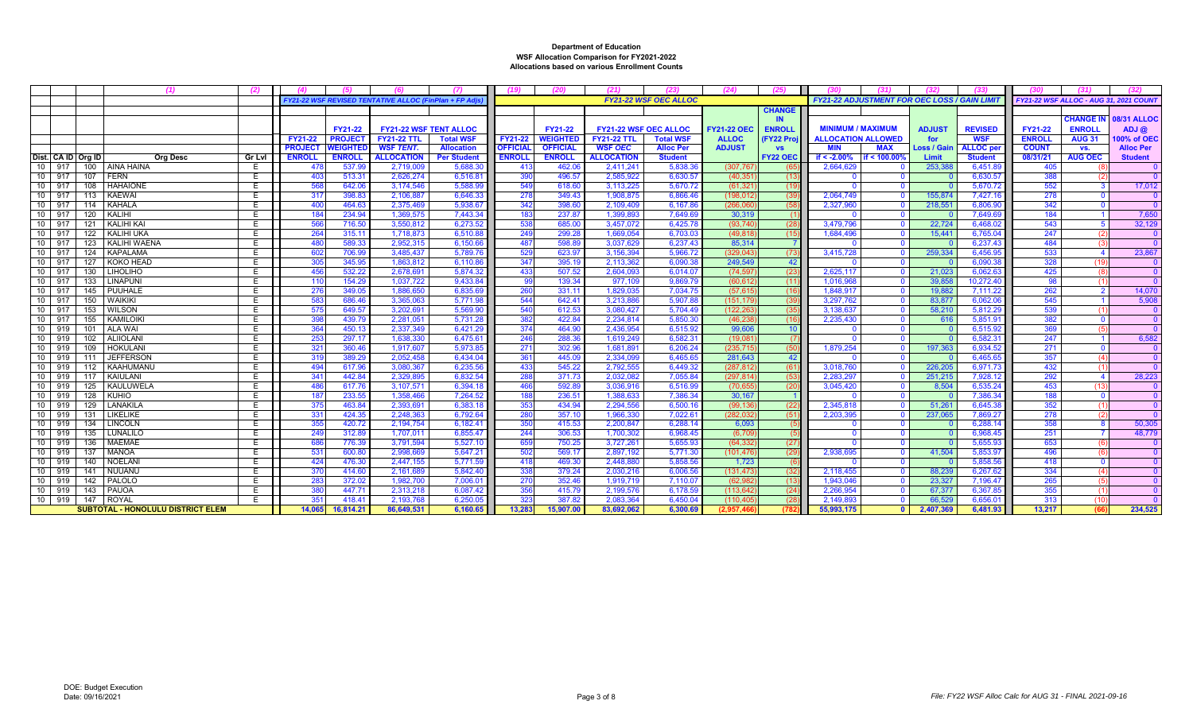|                    |     |                                          | (2)           |                |                 |                                                             |                      |                 |                 |                              |                              |                    |                 |                                                     |                |               |                     |                |                        |                                               |
|--------------------|-----|------------------------------------------|---------------|----------------|-----------------|-------------------------------------------------------------|----------------------|-----------------|-----------------|------------------------------|------------------------------|--------------------|-----------------|-----------------------------------------------------|----------------|---------------|---------------------|----------------|------------------------|-----------------------------------------------|
|                    |     |                                          |               |                |                 | <b>FY21-22 WSF REVISED TENTATIVE ALLOC (FinPlan + FP Ad</b> |                      |                 |                 |                              | <b>FY21-22 WSF OEC ALLOC</b> |                    |                 | <b>FY21-22 ADJUSTMENT FOR OEC LOSS / GAIN LIMIT</b> |                |               |                     |                |                        | <b>FY21-22 WSF ALLOC - AUG 31, 2021 COUNT</b> |
|                    |     |                                          |               |                |                 |                                                             |                      |                 |                 |                              |                              |                    | <b>CHANGE</b>   |                                                     |                |               |                     |                |                        |                                               |
|                    |     |                                          |               |                |                 |                                                             |                      |                 |                 |                              |                              |                    | IN.             |                                                     |                |               |                     |                | <b>CHANGE IN</b>       | <b>08/31 ALLOC</b>                            |
|                    |     |                                          |               |                | <b>FY21-22</b>  | <b>FY21-22 WSF TENT ALLOC</b>                               |                      |                 | <b>FY21-22</b>  | <b>FY21-22 WSF OEC ALLOC</b> |                              | <b>FY21-22 OEC</b> | <b>ENROLL</b>   | <b>MINIMUM / MAXIMUM</b>                            |                | <b>ADJUST</b> | <b>REVISED</b>      | <b>FY21-22</b> | <b>ENROLL</b>          | $ADJ$ $@$                                     |
|                    |     |                                          |               | FY21-22        | <b>PROJECT</b>  | <b>FY21-22 TTL</b>                                          | <b>Total WSF</b>     | FY21-22         | <b>WEIGHTED</b> | <b>FY21-22 TTL</b>           | <b>Total WSF</b>             | <b>ALLOC</b>       | <b>FY22 Pro</b> | <b>ALLOCATION ALLOWED</b>                           |                | for           | <b>WSF</b>          | <b>ENROLL</b>  | <b>AUG 31</b>          | 100% of OEC                                   |
|                    |     |                                          |               | <b>PROJECT</b> | <b>NEIGHTEI</b> | <b>WSF TENT.</b>                                            | <b>Allocation</b>    | <b>OFFICIAL</b> | <b>OFFICIAL</b> | <b>WSF OEC</b>               | <b>Alloc Per</b>             | <b>ADJUST</b>      | <b>VS</b>       |                                                     | <b>MAX</b>     | Loss / Gain   | <b>ALLOC</b> per    | <b>COUNT</b>   | VS.                    | <b>Alloc Per</b>                              |
| Dist. CA ID Org ID |     | <b>Org Desc</b>                          | <b>Gr Lvl</b> | <b>ENROLL</b>  | <b>ENROLL</b>   | <b>ALLOCATION</b>                                           | <b>Per Student</b>   | <b>ENROLL</b>   | <b>ENROLL</b>   | <b>ALLOCATION</b>            | <b>Student</b>               |                    | <b>FY22 OEC</b> | if $< -2.00\%$                                      | if < 100.00    | Limit         | <b>Student</b>      | 08/31/21       | <b>AUG OEC</b>         | <b>Student</b>                                |
| $10-1$<br>917      |     | 100   AINA HAINA                         |               | -47            | 537.9           | 2.719.009                                                   | 5,688.               | -41             | 462.0           | 2.411.241                    | 5.838.3                      | (307, 76)          |                 | 2.664.629                                           |                | 253,38        | 6,451.8             | 405            |                        |                                               |
| 10 917             |     | 107 FERN                                 |               | 403            | 513.3           | 2.626.274                                                   | 6,516.8              | 390             | 496.5           | 2.585.922                    | 6.630.5                      | (40.35)            | (13)            |                                                     |                |               | 6.630.5             | 388            |                        |                                               |
| 10 917             |     | 108   HAHAIONE                           | E             | 568            | 642.06          | 3.174.546                                                   | 5.588.99             | 549             | 618.6           | 3.113.225                    | 5.670.72                     | (61.32)            | (19)            |                                                     |                |               | 5.670.72            | 552            |                        | 17.012                                        |
| 10 917             |     | 113   KAEWAI                             | E             | 317            | 398.8           | 2.106.887                                                   | 6,646.3              | 278             | 349.43          | 1.908.87                     | 6.866.46                     | (198,012           | (39)            | 2.064.749                                           |                | 155,874       | 7,427.1             | 278            | $\Omega$               |                                               |
| 10 917             |     | 114 KAHALA                               |               | 400            | 464.6           | 2,375,469                                                   | 5.938.6              | 342             | 398.6           | 2,109,409                    | 6.167.8                      | (266.06)           | (58)            | 2.327.960                                           |                | 218,551       | 6.806.9             | 342            |                        |                                               |
| 10 917             |     | 120   KALIHI                             |               | 184            | 234.94          | 1.369.575                                                   | 7,443.34             | 183             | 237.87          | 1.399.893                    | 7.649.69                     | 30.319             |                 |                                                     |                |               | 7,649.6             | 184            |                        | 7,650                                         |
| 10 917             |     | 121 KALIHI KAI                           | E             | 566            | 716.50          | 3.550.812                                                   | 6.273.52             | 538             | 685.0           | 3.457.072                    | 6.425.7                      | (93.74)            | (28)            | 3.479.796                                           | $\Omega$       | 22,724        | 6.468.02            | 543            |                        | 32.129                                        |
| 10 917             |     | 122 KALIHI UKA                           | E             | 264            | 315.1           | 1,718,873                                                   | 6,510.88             | 249             | 299.2           | 1,669,054                    | 6.703.03                     | (49, 818)          | (15)            | 1.684.496                                           | $\Omega$       | 15,441        | 6,765.04            | 247            | (2)                    |                                               |
| 10 917             |     | 123   KALIHI WAENA                       |               | 480            | 589.3           | 2,952,315                                                   | 6,150.66             | 487             | 598.8           | 3.037.629                    | 6.237.43                     | 85.314             |                 |                                                     |                |               | 6.237.43            | 484            |                        |                                               |
| 10 917             |     | 124   KAPALAMA                           |               | 602            | 706.9           | 3.485.437                                                   | 5.789.7              | 529             | 623.9           | 3.156.394                    | 5.966.72                     | (329.043           | (73)            | 3.415.728                                           |                | 259.334       | 6.456.95            | 533            |                        | 23.867                                        |
| 10 917             |     | 127 KOKO HEAD                            | E             | 305            | 345.9           | 1.863.812                                                   | 6.110.86             | 347             | 395.19          | 2.113.362                    | 6.090.38                     | 249.549            | 42              |                                                     |                |               | 6.090.3             | 328            | (19)                   |                                               |
| 10 917             |     | 130   LIHOLIHO                           | E             | 456            | 532.22          | 2.678.691                                                   | 5.874.32             | 433             | 507.52          | 2.604.09                     | 6.014.0                      | (74.59)            | (23)            | 2.625.117                                           | $\Omega$       | 21,023        | 6.062.6             | 425            |                        |                                               |
| 10   917           |     | 133   LINAPUNI                           |               | 110            | 154.2           | 1,037,722                                                   | 9,433.84             | - 99            | 139.34          | 977.109                      | 9.869.7                      | (60, 61)           | (11)            | 1.016.968                                           |                | 39,858        | 10,272.40           | 98             |                        |                                               |
| 10 917             |     | 145 PUUHALE                              |               | 276            | 349.0           | 1.886.650                                                   | 6.835.69             | 260             | 331.1'          | 1.829.035                    | 7.034.7                      | (57.61)            | (16)            | 1.848.917                                           | $\Omega$       | 19.882        | 7,111.22            | 262            |                        | 14,070                                        |
| 10 917             |     | 150 WAIKIKI                              | E             | 583            | 686.4           | 3.365.063                                                   | 5.771.98             | 544             | 642.41          | 3.213.88                     | 5.907.88                     | (151.17            | (39)            | 3.297.762                                           | $\Omega$       | 83,877        | 6.062.06            | 545            |                        | 5.908                                         |
| $10 \mid 917$      |     | 153 WILSON                               |               | 575            | 649.5           | 3,202,691                                                   | 5.569.90             | 540             | 612.53          | 3,080,427                    | 5.704.4                      | (122, 26)          | (35)            | 3.138.637                                           | $\Omega$       | 58,210        | 5,812.29            | 539            |                        |                                               |
| 10 917             |     | 155 KAMILOIKI                            |               | 398            | 439.7           | 2,281,051                                                   | 5,731.28             | 382             | 422.84          | 2.234.814                    | 5.850.30                     | (46.23)            | (16)            | 2.235.430                                           |                | 616           | 5,851.9             | 382            |                        |                                               |
| 10 919             | 101 | ALA WAI                                  | E             | 364            | 450.1           | 2.337.349                                                   | 6.421.29             | 374             | 464.9           | 2.436.954                    | 6.515.92                     | 99,606             | 10 <sup>°</sup> |                                                     |                |               | 6.515.92            | 369            |                        |                                               |
| 10 919             |     | 102   ALIIOLANI                          | E             | 253            | 297.1           | 1,638,330                                                   | 6,475.6'             | 246             | 288.36          | 1,619,249                    | 6.582.3'                     | (19,08)            |                 |                                                     |                |               | 6.582.3             | 247            |                        | 6.582                                         |
| $10-1$<br>919      |     | 109 HOKULANI                             |               | 321            | 360.4           | 1,917,607                                                   | 5,973.8              | 27'             | 302.9           | 1,681,89                     | 6,206.2                      | (235, 71)          | (50)            | 1,879,254                                           |                | 197,363       | 6,934.52            | 271            |                        |                                               |
| 10   919           |     | 111 JEFFERSON                            |               | 319            | 389.29          | 2.052.458                                                   | 6.434.04             | 36'             | 445.0           | 2.334.099                    | 6.465.6                      | 281.643            | 42              |                                                     |                |               | 6.465.6             | 357            | (4)                    |                                               |
| 10 919             |     | 112 KAAHUMANU                            |               | 494            | 617.96          | 3.080.367                                                   | 6.235.56             | 433             | 545.22          | 2.792.555                    | 6.449.32                     | (287.81)           | (61)            | 3.018.760                                           |                | 226,205       | 6.971.73            | 432            |                        |                                               |
| 10 919             |     | 117   KAIULANI                           | E             | 341            | 442.8           | 2.329.895                                                   | 6.832.54             | 288             | 371.73          | 2.032.082                    | 7.055.84                     | (297.814)          | (53)            | 2.283.297                                           | $\Omega$       | 251,215       | 7,928.1             | 292            | $\boldsymbol{\Lambda}$ | 28,223                                        |
| 10 919             |     | 125 KAULUWELA                            |               |                | 617.7           | 3,107,571                                                   | 6,394.1              | 466             | 592.8           | 3.036.91                     | 6.516.9                      | (70, 65)           | (20)            | 3,045,420                                           |                | 8,504         | 6.535.24            | 453            |                        |                                               |
| 10   919           |     | 128 KUHIO                                |               | 187            | 233.55          | 1.358.466                                                   | 7.264.52             | 188             | 236.51          | 1.388.633                    | 7.386.34                     | 30.167             |                 |                                                     | $\Omega$       |               | 7.386.34            | 188            |                        |                                               |
| 10   919           | 129 | LANAKILA                                 | E             | 375            | 463.84          | 2.393.691                                                   | 6,383.18             | 353             | 434.94          | 2.294.55                     | 6,500.1                      | (99, 13)           | (22)            | 2.345.818                                           |                | 51,261        | 6,645.3             | 352            | (1)                    |                                               |
| 10   919           |     | 131 LIKELIKE<br><b>LINCOLN</b>           |               | 331<br>355     | 424.3<br>420.7  | 2,248,363<br>2,194,754                                      | 6,792.64<br>6,182.4' | 280<br>350      | 357.1<br>415.53 | 1,966,330<br>2.200.847       | 7.022.6<br>6.288.1           | (282.03<br>6,093   | (51)            | 2.203.39                                            |                | 237,065       | 7,869.27<br>6,288.1 | 278<br>358     |                        | 50.30                                         |
| $10-1$<br>919      | 134 |                                          |               |                |                 |                                                             |                      |                 |                 |                              |                              |                    |                 |                                                     |                |               |                     |                |                        |                                               |
| 10   919           |     | 135   LUNALILO                           | E             | 249            | 312.8           | 1.707.011                                                   | 6.855.47             | 244             | 306.53          | 1.700.302                    | 6.968.45                     | (6, 70)            |                 |                                                     |                |               | 6.968.45            | 251            |                        | 48.779                                        |
| 10 919             |     | 136   MAEMAE                             | E             | 686            | 776.3           | 3,791,594                                                   | 5,527.10             | 659             | 750.25          | 3,727,26'                    | 5.655.93                     | (64, 33)           | (27)            |                                                     |                |               | 5.655.93            | 653            | (6)                    |                                               |
| 10 919             |     | 137   MANOA                              |               | 531            | 600.8           | 2,998,669                                                   | 5,647.21             | 502             | 569.1           | 2,897,19                     | 5,771.30                     | (101, 476)         | (29)            | 2,938,695                                           |                | 41,504        | 5,853.9             | 496            |                        |                                               |
| 10   919           |     | 140   NOELANI                            | E<br>E        | 424            | 476.3           | 2.447.155                                                   | 5.771.59             | 418             | 469.3<br>379.24 | 2.448.88                     | 5.858.56                     | 1.723              |                 |                                                     | $\Omega$       |               | 5.858.56            | 418            |                        |                                               |
| 10   919           | 141 | <b>NUUANU</b>                            |               | -370           | 414.60          | 2.161.689                                                   | 5.842.40             | 338             |                 | 2.030.216                    | 6.006.56                     | (131.473)          | (32)            | 2.118.455                                           |                | 88.239        | 6.267.62            | 334            |                        |                                               |
| 10   919           |     | 142 PALOLO                               | E             | 283            | 372.02          | 1.982.700                                                   | 7,006.0              | 270             | 352.46          | 1,919,719                    | 7.110.0                      | (62, 98)           | (13)            | 1.943.046                                           | $\Omega$       | 23,327        | 7,196.47            | 265            |                        |                                               |
| 10   919           |     | 143 PAUOA                                |               | 380            | 447.7           | 2,313,218                                                   | 6,087.42             | 356             | 415.7           | 2,199,57                     | 6,178.5                      | (113, 64)          | (24)            | 2,266,954                                           |                | 67.37         | 6,367.85            | 355            |                        |                                               |
| 10 919             |     | 147 ROYAL                                |               | $35^{\circ}$   | 418.4           | 2.193.768                                                   | 6.250.05             | 323             | 387.82          | 2.083.364                    | 6.450.0                      | (110.40)           | (28)            | 2.149.893                                           | $\Omega$       | 66.529        | 6,656,0             | 313            | (10)                   |                                               |
|                    |     | <b>SUBTOTAL - HONOLULU DISTRICT ELEM</b> |               | 14.065         | 16.814.21       | 86.649.531                                                  | 6.160.65             | 13.283          | 15,907.00       | 83.692.062                   | 6.300.69                     | (2.957.4)          | (78)            | 55.993.175                                          | $\overline{0}$ | 2.407.369     | 6.481.93            | 13.217         | (66)                   | 234.525                                       |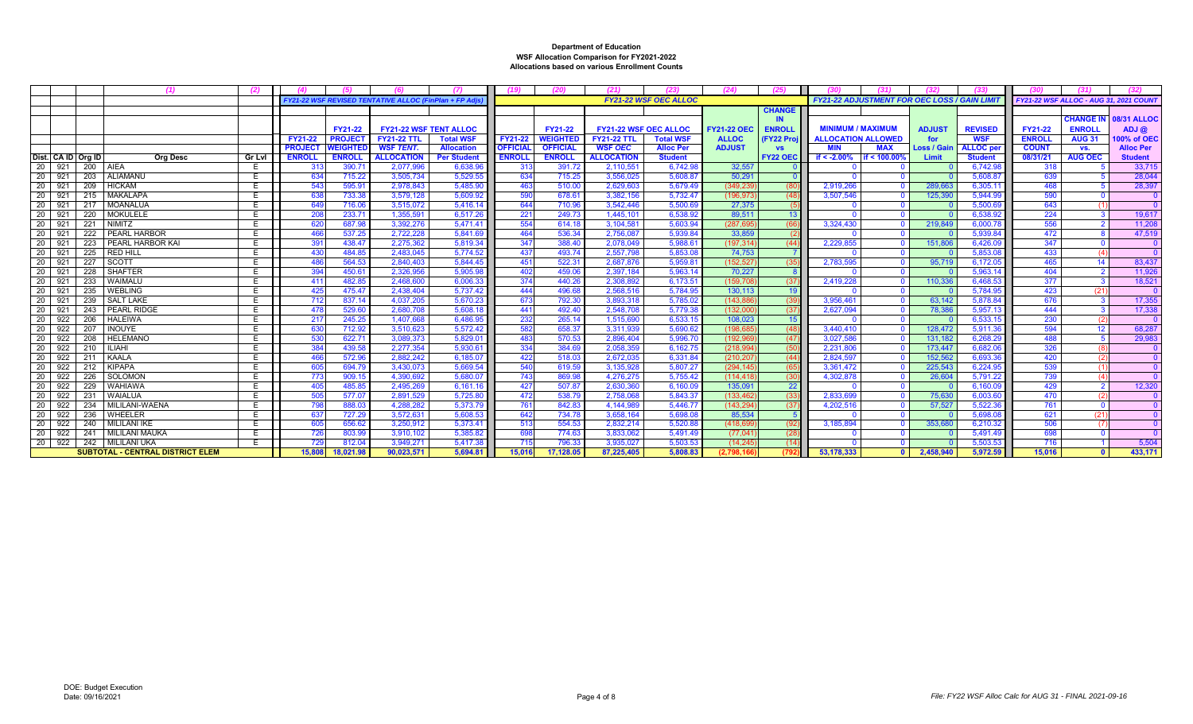|                    |     | (1)                                     | (2)           |                |                 |                                                      | (7)                |                 | (20)            | (21)                         | (23)                         | (24)               | (25)            |                           | (31)                                                |                    |                  |                |                                        |                    |
|--------------------|-----|-----------------------------------------|---------------|----------------|-----------------|------------------------------------------------------|--------------------|-----------------|-----------------|------------------------------|------------------------------|--------------------|-----------------|---------------------------|-----------------------------------------------------|--------------------|------------------|----------------|----------------------------------------|--------------------|
|                    |     |                                         |               |                |                 | FY21-22 WSF REVISED TENTATIVE ALLOC (FinPlan + FP Ad |                    |                 |                 |                              | <b>FY21-22 WSF OEC ALLOC</b> |                    |                 |                           | <b>FY21-22 ADJUSTMENT FOR OEC LOSS / GAIN LIMIT</b> |                    |                  |                | FY21-22 WSF ALLOC - AUG 31, 2021 COUN1 |                    |
|                    |     |                                         |               |                |                 |                                                      |                    |                 |                 |                              |                              |                    | <b>CHANGE</b>   |                           |                                                     |                    |                  |                |                                        |                    |
|                    |     |                                         |               |                |                 |                                                      |                    |                 |                 |                              |                              |                    | <b>IN</b>       |                           |                                                     |                    |                  |                | <b>CHANGE IN</b>                       | <b>08/31 ALLOC</b> |
|                    |     |                                         |               |                | <b>FY21-22</b>  | <b>FY21-22 WSF TENT ALLOC</b>                        |                    |                 | FY21-22         | <b>FY21-22 WSF OEC ALLOC</b> |                              | <b>FY21-22 OEC</b> | <b>ENROLI</b>   | <b>MINIMUM / MAXIMUM</b>  |                                                     | <b>ADJUST</b>      | <b>REVISED</b>   | <b>FY21-22</b> | <b>ENROLL</b>                          | ADJ@               |
|                    |     |                                         |               | <b>FY21-22</b> | <b>PROJECT</b>  | <b>FY21-22 TTL</b>                                   | <b>Total WSF</b>   | <b>FY21-22</b>  | <b>WEIGHTED</b> | <b>FY21-22 TTL</b>           | <b>Total WSF</b>             | <b>ALLOC</b>       | (FY22 Proj      | <b>ALLOCATION ALLOWED</b> |                                                     | for                | <b>WSF</b>       | <b>ENROLL</b>  | <b>AUG 31</b>                          | 100% of OEC        |
|                    |     |                                         |               | <b>PROJECT</b> | <b>WEIGHTED</b> | WSF TENT.                                            | <b>Allocation</b>  | <b>OFFICIAL</b> | <b>OFFICIAL</b> | <b>WSF OEC</b>               | <b>Alloc Per</b>             | <b>ADJUST</b>      | <b>VS</b>       | <b>MIN</b>                | <b>MAX</b>                                          | <b>Loss / Gain</b> | <b>ALLOC</b> per | <b>COUNT</b>   | VS.                                    | <b>Alloc Per</b>   |
| Dist. CA ID Org ID |     | <b>Org Desc</b>                         | <b>Gr Lvl</b> | <b>ENROLI</b>  | <b>ENROLL</b>   | <b>ALLOCATION</b>                                    | <b>Per Student</b> | <b>ENROLL</b>   | <b>ENROLL</b>   | <b>ALLOCATION</b>            | <b>Student</b>               |                    | <b>FY22 OEC</b> | if $< -2.00%$             | f < 100.00%                                         | Limit              | <b>Student</b>   | 08/31/21       | <b>AUG OEC</b>                         | <b>Student</b>     |
| 20<br>921          |     | 200 AIEA                                | E.            | 313            | 390.71          | 2,077,996                                            | 6,638.9            | 313             | 391.72          | 2,110,551                    | 6,742.9                      | 32,557             |                 |                           |                                                     |                    | 6,742.9          | 318            |                                        | 33,715             |
| 20<br>921          | 203 | ALIAMANU                                | E.            | 634            | 715.22          | 3,505,734                                            | 5,529.55           | 634             | 715.25          | 3,556,025                    | 5,608.87                     | 50.291             |                 |                           |                                                     |                    | 5.608.8          | 639            |                                        | 28,044             |
| 921<br>20          | 209 | <b>HICKAM</b>                           | E.            | 543            | 595.91          | 2,978,843                                            | 5,485.90           | 463             | 510.00          | 2.629.603                    | 5,679.49                     | (349, 239)         | (80)            | 2,919,266                 |                                                     | 289.663            | 6.305.1          | 468            |                                        | 28,397             |
| 20<br>921          | 215 | MAKALAPA                                | E.            | 638            | 733.38          | 3,579,128                                            | 5.609.92           | 590             | 678.61          | 3,382,156                    | 5,732.47                     | (196, 97)          | (48)            | 3,507,546                 |                                                     | 125,390            | 5.944.99         | 590            |                                        |                    |
| 20<br>921          | 217 | MOANALUA                                | E.            | 649            | 716.06          | 3.515.072                                            | 5.416.14           | 644             | 710.96          | 3.542.446                    | 5,500.6                      | 27.375             | (5)             |                           |                                                     |                    | 5.500.6          | 643            |                                        |                    |
| 20<br>921          | 220 | <b>MOKULELE</b>                         | E             | 208            | 233.71          | 1.355.59                                             | 6.517.26           | 221             | 249.73          | 1.445.101                    | 6.538.9                      | 89.51              | 13              |                           |                                                     |                    | 6.538.92         | 224            |                                        | 19,617             |
| 921<br>20          | 221 | NIMITZ                                  | E.            | 620            | 687.98          | 3,392,276                                            | 5.471.41           | 554             | 614.18          | 3,104,581                    | 5,603.94                     | (287.69            | (66)            | 3,324,430                 |                                                     | 219,849            | 6,000.7          | 556            |                                        | 11,208             |
| 20<br>921          | 222 | <b>PEARL HARBOR</b>                     | E.            | 466            | 537.25          | 2.722.228                                            | 5.841.69           | 464             | 536.34          | 2,756,087                    | 5.939.84                     | 33,859             | (2)             |                           |                                                     |                    | 5,939.84         | 472            |                                        | 47,519             |
| 20<br>921          | 223 | PEARL HARBOR KAI                        | E             | 391            | 438.47          | 2,275,362                                            | 5,819.34           | 347             | 388.40          | 2,078,049                    | 5,988.6                      | (197, 314)         | (44)            | 2,229,855                 |                                                     | 151.806            | 6,426.0          | 347            |                                        |                    |
| 20<br>921          | 225 | <b>RED HILL</b>                         | E             | 430            | 484.85          | 2.483.045                                            | 5.774.52           | 437             | 493.74          | 2.557.798                    | 5.853.0                      | 74.753             |                 |                           |                                                     |                    | 5.853.0          | 433            |                                        |                    |
| 20<br>921          | 227 | <b>SCOTT</b>                            | E             | 486            | 564.53          | 2,840,403                                            | 5.844.45           | 451             | 522.31          | 2,687,876                    | 5,959.8                      | (152.52)           | (35)            | 2,783,595                 |                                                     | 95.719             | 6.172.0          | 465            |                                        | 83,437             |
| 921<br>20          | 228 | <b>SHAFTER</b>                          | E             | 394            | 450.61          | 2,326,956                                            | 5.905.98           | 402             | 459.06          | 2.397.184                    | 5.963.14                     | 70.227             |                 |                           |                                                     |                    | 5.963.1          | 404            |                                        | 11,926             |
| 921<br>20          | 233 | WAIMALU                                 | E.            | 411            | 482.85          | 2.468,600                                            | 6.006.33           | 374             | 440.26          | 2.308.892                    | 6.173.51                     | (159.70)           | (37)            | 2.419.228                 |                                                     | 110.336            | 6.468.53         | 377            |                                        | 18,521             |
| 20<br>921          | 235 | <b>WEBLING</b>                          | E.            | 425            | 475.47          | 2,438,404                                            | 5,737.42           | 444             | 496.68          | 2,568,516                    | 5,784.95                     | 130,113            | 19              |                           |                                                     |                    | 5.784.9          | 423            | (21)                                   | $\Omega$           |
| 921<br>20          | 239 | <b>SALT LAKE</b>                        | E.            | 712            | 837.14          | 4,037,205                                            | 5.670.23           | 673             | 792.30          | 3.893.318                    | 5,785.02                     | (143.88)           | (39)            | 3,956,461                 |                                                     | 63.142             | 5.878.84         | 676            |                                        | 17,355             |
| 921<br>20          | 243 | <b>PEARL RIDGE</b>                      | E.            | 478            | 529.60          | 2.680.708                                            | 5.608.18           | 441             | 492.40          | 2.548.708                    | 5,779.38                     | (132.000)          | (37)            | 2.627.094                 |                                                     | 78,386             | 5.957.13         | 444            |                                        | 17,338             |
| 922<br>20          | 206 | <b>HALEIWA</b>                          | E.            | 217            | 245.25          | 1.407.668                                            | 6.486.95           | 232             | 265.14          | 1.515.690                    | 6.533.15                     | 108,023            | 15              |                           |                                                     |                    | 6,533.15         | 230            |                                        | $\overline{0}$     |
| 922<br>-20         | 207 | <b>INOUYE</b>                           | E.            | 630            | 712.92          | 3.510.623                                            | 5.572.42           | 582             | 658.37          | 3.311.939                    | 5.690.62                     | (198.68)           | (48)            | 3.440.410                 |                                                     | 128,472            | 5.911.36         | 594            |                                        | 68,287             |
| 20<br>922          | 208 | <b>HELEMANO</b>                         | E             | 530            | 622.71          | 3,089,373                                            | 5.829.0            | 483             | 570.53          | 2.896.404                    | 5,996.7                      | (192, 969)         | (47)            | 3,027,586                 |                                                     | 131,182            | 6,268.29         | 488            |                                        | 29,983             |
| 922<br>20          | 210 | <b>ILIAHI</b>                           | E             | 384            | 439.58          | 2,277,354                                            | 5.930.61           | 334             | 384.69          | 2,058,359                    | 6,162.75                     | (218.99            | (50)            | 2,231,806                 |                                                     | 173,447            | 6,682.0          | 326            |                                        |                    |
| 922<br>20          | 211 | KAALA                                   | E.            | 466            | 572.96          | 2,882,242                                            | 6,185.07           | 422             | 518.03          | 2,672,035                    | 6,331.84                     | (210, 20)          | (44)            | 2,824,597                 |                                                     | 152,562            | 6,693.3          | 420            |                                        |                    |
| 922<br>20          | 212 | KIPAPA                                  | E.            | 605            | 694.79          | 3,430,073                                            | 5.669.54           | 540             | 619.59          | 3,135,928                    | 5,807.27                     | (294.145)          | (65)            | 3,361,472                 |                                                     | 225,543            | 6.224.95         | 539            |                                        |                    |
| 922<br>20          | 226 | SOLOMON                                 | E             | 773            | 909.15          | 4.390.692                                            | 5.680.07           | 743             | 869.98          | 4,276,275                    | 5,755.42                     | (114.418           | (30)            | 4,302,878                 |                                                     | 26.604             | 5,791.22         | 739            |                                        |                    |
| 922<br>20          | 229 | <b>WAHIAWA</b>                          | E.            | 405            | 485.85          | 2,495,26                                             | 6,161.16           | 427             | 507.87          | 2.630.360                    | 6,160.0                      | 135,09             | 22              |                           |                                                     |                    | 6.160.0          | 429            |                                        | 12,320             |
| 20<br>922          | 231 | WAIALUA                                 | E             | 505            | 577.07          | 2,891,529                                            | 5,725.80           | 472             | 538.79          | 2,758,068                    | 5,843.37                     | (133, 462)         | (33)            | 2,833,699                 |                                                     | 75,630             | 6,003.60         | 470            |                                        |                    |
| 922<br>20          | 234 | MILILANI-WAENA                          | E.            | 798            | 888.03          | 4.288.282                                            | 5.373.79           | 761             | 842.83          | 4,144,989                    | 5,446.77                     | (143, 294)         | (37)            | 4,202,516                 |                                                     | 57,527             | 5,522.3          | 761            |                                        |                    |
| 922<br>20          | 236 | WHEELER                                 | E.            | 637            | 727.29          | 3,572,63'                                            | 5.608.53           | 642             | 734.78          | 3,658,164                    | 5,698.0                      | 85.534             | $-5$            |                           |                                                     |                    | 5,698.0          | 621            | (21)                                   |                    |
| 20<br>922          | 240 | <b>MILILANI IKE</b>                     | Е             | 605            | 656.62          | 3.250.912                                            | 5.373.41           | 513             | 554.53          | 2.832.214                    | 5,520.8                      | (418.69)           | (92)            | 3,185,894                 |                                                     | 353,680            | 6,210.32         | 506            |                                        |                    |
| 20 l<br>922        | 241 | MILILANI MAUKA                          | Е             | 726            | 803.99          | 3.910.102                                            | 5.385.82           | 698             | 774.63          | 3.833.062                    | 5.491.49                     | (77.04)            | (28)            |                           |                                                     |                    | 5.491.49         | 698            |                                        |                    |
| 20 922             |     | 242   MILILANI UKA                      | E.            | 729            | 812.04          | 3,949,27'                                            | 5,417.38           | 715             | 796.33          | 3,935,027                    | 5,503.53                     | (14, 24)           | (14)            |                           |                                                     |                    | 5.503.53         | 716            |                                        | 5,504              |
|                    |     | <b>SUBTOTAL - CENTRAL DISTRICT ELEM</b> |               | 15,808         | 18.021.98       | 90,023,571                                           | 5.694.81           | 15.016          | 17.128.05       | 87.225.405                   | 5.808.83                     | (2.798.16)         | (792            | 53.178.333                |                                                     | 2.458.940          | 5.972.59         | 15.016         |                                        | 433.171            |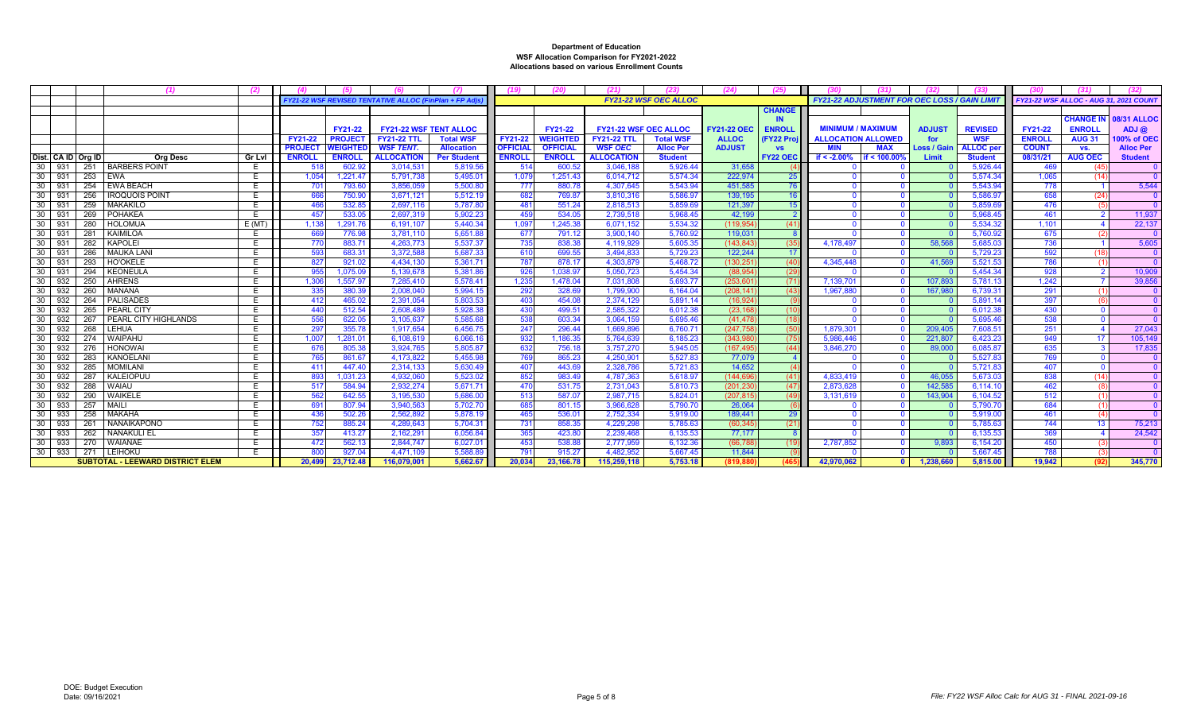|                    |     |                                         |               |                |                 | FY21-22 WSF REVISED TENTATIVE ALLOC (FinPlan + FP A) |                    |                 |                 |                              | <b>FY21-22 WSF OEC ALLOC</b> |                   |                 |                           | <b>FY21-22 ADJUSTMENT FOR OEC LOSS / GAIN LIMIT</b> |                    |                  |                | <b>-Y21-22 WSF ALLOC - AUG 31. 2021 COUNT</b> |                    |
|--------------------|-----|-----------------------------------------|---------------|----------------|-----------------|------------------------------------------------------|--------------------|-----------------|-----------------|------------------------------|------------------------------|-------------------|-----------------|---------------------------|-----------------------------------------------------|--------------------|------------------|----------------|-----------------------------------------------|--------------------|
|                    |     |                                         |               |                |                 |                                                      |                    |                 |                 |                              |                              |                   | <b>CHANGE</b>   |                           |                                                     |                    |                  |                |                                               |                    |
|                    |     |                                         |               |                |                 |                                                      |                    |                 |                 |                              |                              |                   |                 |                           |                                                     |                    |                  |                | <b>CHANGE IN</b>                              | <b>08/31 ALLOC</b> |
|                    |     |                                         |               |                | <b>FY21-22</b>  | <b>FY21-22 WSF TENT ALLOC</b>                        |                    |                 | FY21-22         | <b>FY21-22 WSF OEC ALLOC</b> |                              | <b>FY21-22 OE</b> | <b>ENROLI</b>   | <b>MINIMUM / MAXIMUN</b>  |                                                     | <b>ADJUST</b>      | <b>REVISED</b>   | <b>FY21-22</b> | <b>ENROLL</b>                                 | $ADJ$ $@$          |
|                    |     |                                         |               | <b>FY21-22</b> | <b>PROJECT</b>  | <b>FY21-22 TTL</b>                                   | <b>Total WSF</b>   | FY21-22         | <b>WEIGHTED</b> | <b>FY21-22 TTL</b>           | <b>Total WSF</b>             | <b>ALLOC</b>      | <b>FY22 Pro</b> | <b>ALLOCATION ALLOWED</b> |                                                     | for                | <b>WSF</b>       | <b>ENROLL</b>  | <b>AUG 31</b>                                 | 100% of OEC        |
|                    |     |                                         |               | <b>PROJEC</b>  | <b>NEIGHTED</b> | <b>WSF TENT.</b>                                     | <b>Allocation</b>  | <b>OFFICIAL</b> | <b>OFFICIAL</b> | <b>WSF OEC</b>               | <b>Alloc Per</b>             | <b>ADJUST</b>     | <b>VS</b>       | MIN                       | <b>MAX</b>                                          | <b>Loss / Gair</b> | <b>ALLOC</b> per | <b>COUNT</b>   | VS.                                           | <b>Alloc Per</b>   |
| Dist. CA ID Ora ID |     | <b>Org Desc</b>                         | <b>Gr Lvl</b> | <b>ENROLL</b>  | <b>ENROLL</b>   | <b>ALLOCATION</b>                                    | <b>Per Student</b> | <b>ENROLI</b>   | <b>ENROLL</b>   | <b>ALLOCATION</b>            | <b>Student</b>               |                   | <b>FY22 OEC</b> | if $< -2.00%$             | if < 100.00                                         | Limit              | <b>Student</b>   | 08/31/21       | <b>AUG OEC</b>                                | <b>Student</b>     |
| 30<br>931          | 251 | <b>BARBERS POINT</b>                    |               |                | 602.9           | 3,014,53'                                            | 5,819.56           | 514             | 600.52          | 3.046.188                    | 5.926.44                     | 31.65             |                 |                           |                                                     |                    | 5,926.44         | 469            |                                               |                    |
| 30<br>931          |     | 253 EWA                                 |               | 1,054          | 1.221.47        | 5.791.738                                            | 5.495.0            | 1.079           | 1.251.43        | 6.014.712                    | 5.574.34                     | 222.97            | 25              |                           |                                                     |                    | 5.574.34         | 1.065          | (14)                                          |                    |
| 931<br>30          | 254 | <b>EWA BEACH</b>                        |               | $70^{\circ}$   | 793.60          | 3,856,059                                            | 5,500.8            | -777            | 880.78          | 4,307,645                    | 5,543.94                     | 451,585           | 76              |                           |                                                     |                    | 5,543.94         | 778            |                                               | 5,544              |
| 30<br>931          | 256 | <b>IROQUOIS POINT</b>                   |               | 666            | 750.9           | 3,671,121                                            | 5,512.19           | 682             | 769.87          | 3,810,316                    | 5.586.97                     | 139.195           | 16              |                           |                                                     |                    | 5.586.9          | 658            | (24)                                          |                    |
| 30<br>931          | 259 | <b>MAKAKILO</b>                         |               | 466            | 532.8           | 2,697,116                                            | 5,787.8            | 48 <sup>°</sup> | 551.24          | 2,818,513                    | 5.859.69                     | 121.397           | 15              |                           |                                                     |                    | 5,859.6          | 476            |                                               |                    |
| 30<br>931          | 269 | POHAKEA                                 | E             | 457            | 533.0           | 2.697.319                                            | 5.902.23           | 459             | 534.05          | 2.739.518                    | 5.968.45                     | 42.199            |                 |                           |                                                     |                    | 5.968.4          | 461            |                                               | 11,937             |
| 30<br>931          | 280 | <b>HOLOMUA</b>                          | E(MT)         | 1.138          | 1,291.7         | 6.191.107                                            | 5,440.34           | 1.097           | 1.245.38        | 6.071.152                    | 5.534.32                     | (119, 95          | (41             |                           |                                                     |                    | 5.534.3          | 1.101          |                                               | 22.137             |
| 30<br>931          | 281 | KAIMILOA                                |               | 669            | 776.9           | 3,781,110                                            | 5.651.8            | 677             | 791.12          | 3.900.140                    | 5.760.92                     | 119.03            |                 |                           |                                                     |                    | 5.760.9          | 675            |                                               |                    |
| 30<br>931          | 282 | <b>KAPOLEI</b>                          | E             | 77(            | 883.7           | 4.263.773                                            | 5.537.3            | 735             | 838.38          | 4.119.929                    | 5.605.35                     | (143.84)          | (35)            | 4.178.497                 |                                                     | 58.568             | 5.685.0          | 736            |                                               | 5,605              |
| 30<br>931          | 286 | <b>MAUKA LAN</b>                        |               | 593            | 683.3           | 3,372,588                                            | 5,687.3            | 610             | 699.55          | 3,494,833                    | 5,729.23                     | 122.244           | 17              |                           |                                                     |                    | 5,729.23         | 592            | 718                                           |                    |
| 30<br>931          | 293 | <b>HO'OKELE</b>                         |               | 827            | 921.02          | 4,434,130                                            | 5,361.7            | 787             | 878.1           | 4,303,879                    | 5,468.72                     | (130, 25)         | (40)            | 4,345,448                 |                                                     | 41.569             | 5,521.53         | 786            |                                               |                    |
| 30<br>931          | 294 | <b>KEONEULA</b>                         | F             | 955            | 1,075.0         | 5,139,678                                            | 5,381.86           | 926             | 1,038.97        | 5,050,723                    | 5,454.34                     | (88, 95           | (29)            |                           |                                                     |                    | 5,454.34         | 928            |                                               | 10,909             |
| 30<br>932          | 250 | <b>AHRENS</b>                           |               | 1,306          | 1,557.9         | 7,285,410                                            | 5,578.4            | 1,235           | 1.478.04        | 7.031.808                    | 5.693.77                     | (253.60)          | (71)            | 7,139,701                 |                                                     | 107,893            | 5.781.1          | 1.242          |                                               | 39.856             |
| 30<br>932          | 260 | <b>MANANA</b>                           |               | 335            | 380.3           | 2,008,040                                            | 5.994.1            | 292             | 328.69          | 1.799.900                    | 6.164.04                     | (208, 14)         | (43)            | 1.967.880                 |                                                     | 167,980            | 6.739.3          | 291            |                                               |                    |
| 932<br>30          | 264 | PALISADES                               |               | 41'            | 465.0           | 2.391.054                                            | 5.803.53           | 403             | 454.0           | 2.374.129                    | 5.891.14                     | (16.92            |                 |                           |                                                     |                    | 5.891.1          | 397            |                                               |                    |
| 30<br>932          | 265 | PEARL CITY                              |               | 440            | 512.5           | 2.608.489                                            | 5.928.3            | 430             | 499.51          | 2.585.322                    | 6.012.38                     | (23.16)           | (10             |                           |                                                     |                    | 6.012.3          | 430            |                                               |                    |
| 30<br>932          | 267 | PEARL CITY HIGHLANDS                    |               | 556            | 622.0           | 3,105,637                                            | 5,585.6            | 538             | 603.34          | 3,064,159                    | 5,695.46                     | (41, 478)         | (18)            |                           |                                                     |                    | 5,695.46         | 538            |                                               |                    |
| 30<br>932          | 268 | LEHUA                                   | F.            | 297            | 355.78          | 1,917,654                                            | 6,456.75           | 247             | 296.44          | 1.669.896                    | 6.760.71                     | (247.75)          | (50)            | 1,879,30                  |                                                     | 209,405            | 7,608.5          | 251            |                                               | 27,043             |
| -30<br>932         | 274 | WAIPAHU                                 |               | 1,007          | 1,281.0         | 6,108,61                                             | 6,066.1            | 932             | 1,186.35        | 5,764,639                    | 6,185.23                     | (343,98)          | (75)            | 5,986,446                 |                                                     | 221,807            | 6,423.23         | 949            | 17                                            | 105,14             |
| 30<br>932          | 276 | <b>HONOWAI</b>                          |               | -676           | 805.3           | 3,924,765                                            | 5,805.8            | 632             | 756.18          | 3,757,270                    | 5.945.05                     | (167.49           | (44)            | 3,846,270                 |                                                     | 89,000             | 6,085.8          | 635            |                                               | 17,83              |
| 932<br>30          | 283 | KANOELANI                               |               | 76             | 861.6           | 4,173,822                                            | 5,455.98           | 769             | 865.23          | 4,250,90                     | 5.527.83                     | 77.07             |                 |                           |                                                     |                    | 5.527.83         | 769            |                                               |                    |
| 932<br>30          | 285 | MOMILANI                                |               | -41            | 447.4           | 2.314.133                                            | 5.630.49           | 407             | 443.69          | 2.328.786                    | 5.721.83                     | 14.652            |                 |                           |                                                     |                    | 5.721.83         | 407            |                                               |                    |
| 932<br>30          | 287 | KALEIOPUU                               |               | 893            | 1.031.23        | 4.932.060                                            | 5,523.0            | 852             | 983.49          | 4,787,363                    | 5.618.97                     | (144.69)          | (41)            | 4.833.419                 |                                                     | 46.055             | 5,673.03         | 838            | (14)                                          |                    |
| 30<br>932          | 288 | <b>WAIAU</b>                            |               | 517            | 584.94          | 2,932,274                                            | 5,671.7            | <b>470</b>      | 531.75          | 2,731,043                    | 5,810.73                     | (201, 23)         | (47)            | 2,873,628                 |                                                     | 142.58             | 6,114.1          | 462            |                                               |                    |
| 30<br>932          | 290 | <b>WAIKELE</b>                          |               | 562            | 642.5           | 3,195,530                                            | 5,686.0            | 513             | 587.07          | 2,987,715                    | 5,824.0                      | (207, 81)         | (49)            | 3,131,619                 |                                                     | 143,904            | 6,104.52         | 512            |                                               |                    |
| 30<br>933          | 257 | <b>MAIL</b>                             |               | 69             | 807.9           | 3,940,563                                            | 5,702.7            | 685             | 801.15          | 3,966,628                    | 5,790.70                     | 26,064            |                 |                           |                                                     |                    | 5,790.7          | 684            |                                               |                    |
| 933<br>30          | 258 | MAKAHA                                  |               | 436            | 502.26          | 2,562,892                                            | 5,878.1            | 465             | 536.01          | 2,752,334                    | 5,919.00                     | 189.44'           | 29              |                           |                                                     |                    | 5.919.0          | 461            | (4)                                           |                    |
| 30<br>933          | 261 | <b>NANAIKAPONO</b>                      |               | 752            | 885.24          | 4.289.643                                            | 5,704.3            | 73'             | 858.35          | 4.229.298                    | 5.785.63                     | (60.345)          | (21)            |                           |                                                     |                    | 5.785.63         | 744            | 13                                            | 75,213             |
| 30<br>933          | 262 | <b>NANAKULI EL</b>                      |               | 357            | 413.27          | 2.162.29'                                            | 6,056.84           | 365             | 423.8           | 2.239.468                    | 6.135.53                     | 77.177            |                 |                           |                                                     |                    | 6,135.53         | 369            |                                               | 24,542             |
| 933<br>30          | 270 | WAIANAE                                 | E             | 472            | 562.1           | 2,844,747                                            | 6,027.0            | 453             | 538.88          | 2.777.959                    | 6.132.36                     | (66.78)           |                 | 2,787,852                 |                                                     | 9.893              | 6,154.20         | 450            | $\left($ 3                                    |                    |
| 30<br>933          | 271 | <b>LEIHOKU</b>                          |               | 80             | 927.0           | 4,471,10                                             | 5.588.8            | 79'             | 915.27          | 4.482.952                    | 5.667.45                     | 11.844            |                 |                           |                                                     |                    | 5.667.45         | 788            | (3)                                           |                    |
|                    |     | <b>SUBTOTAL - LEEWARD DISTRICT ELEM</b> |               | 20,499         | 23,712.48       | 116,079,001                                          | 5,662.67           | 20,034          | 23,166.78       | 115,259,118                  | 5,753.18                     | (819.8            |                 | 42,970,062                | $\mathbf{0}$                                        | 1,238,660          | 5,815.00         | 19.942         | (92)                                          | 345,770            |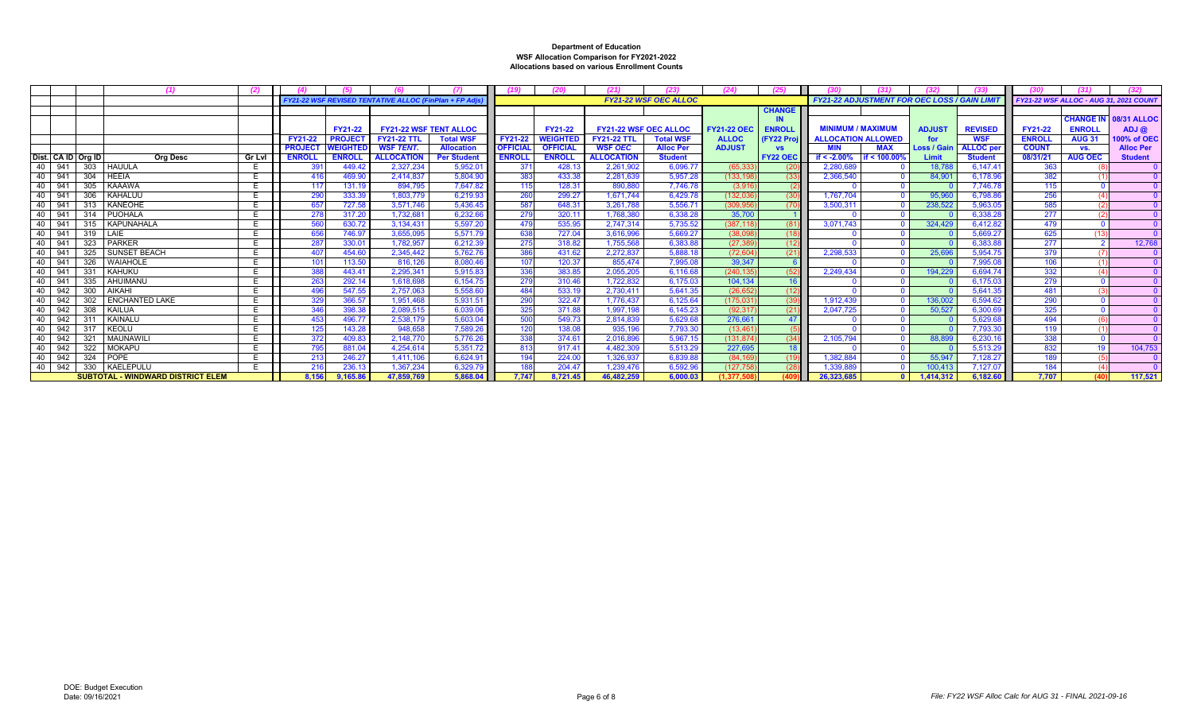|                    |     | (1)                                      |               |                |                 |                                                                |                    |                 |                 |                              |                              |                    |                  |                                                     |             |                    |                  |                |                                       |                    |
|--------------------|-----|------------------------------------------|---------------|----------------|-----------------|----------------------------------------------------------------|--------------------|-----------------|-----------------|------------------------------|------------------------------|--------------------|------------------|-----------------------------------------------------|-------------|--------------------|------------------|----------------|---------------------------------------|--------------------|
|                    |     |                                          |               |                |                 | <b>FY21-22 WSF REVISED TENTATIVE ALLOC (FinPlan + FP Adis)</b> |                    |                 |                 |                              | <b>FY21-22 WSF OEC ALLOC</b> |                    |                  | <b>FY21-22 ADJUSTMENT FOR OEC LOSS / GAIN LIMIT</b> |             |                    |                  |                | FY21-22 WSF ALLOC - AUG 31, 2021 COUN |                    |
|                    |     |                                          |               |                |                 |                                                                |                    |                 |                 |                              |                              |                    | <b>CHANGE</b>    |                                                     |             |                    |                  |                |                                       |                    |
|                    |     |                                          |               |                |                 |                                                                |                    |                 |                 |                              |                              |                    |                  |                                                     |             |                    |                  |                | <b>CHANGE IN</b>                      | <b>08/31 ALLOC</b> |
|                    |     |                                          |               |                | <b>FY21-22</b>  | <b>FY21-22 WSF TENT ALLOC</b>                                  |                    |                 | <b>FY21-22</b>  | <b>FY21-22 WSF OEC ALLOC</b> |                              | <b>FY21-22 OEC</b> | <b>ENROLL</b>    | <b>MINIMUM / MAXIMUM</b>                            |             | <b>ADJUST</b>      | <b>REVISED</b>   | <b>FY21-22</b> | <b>ENROLI</b>                         | ADJ@               |
|                    |     |                                          |               | <b>FY21-22</b> | <b>PROJEC</b>   | <b>FY21-22 TTL</b>                                             | <b>Total WSF</b>   | FY21-22         | <b>WEIGHTED</b> | <b>FY21-22 TTL</b>           | <b>Total WSF</b>             | <b>ALLOC</b>       | <b>FY22 Proj</b> | <b>ALLOCATION ALLOWED</b>                           |             | for                | <b>WSF</b>       | <b>ENROLL</b>  | <b>AUG 31</b>                         | 100% of OEC        |
|                    |     |                                          |               | <b>PROJECT</b> | <b>WEIGHTED</b> | <b>WSF TENT.</b>                                               | <b>Allocation</b>  | <b>OFFICIAL</b> | <b>OFFICIAL</b> | <b>WSF OEC</b>               | <b>Alloc Per</b>             | <b>ADJUST</b>      | <b>VS</b>        | <b>MIN</b>                                          | <b>MAX</b>  | <b>Loss / Gain</b> | <b>ALLOC</b> per | <b>COUNT</b>   | VS.                                   | <b>Alloc Per</b>   |
| Dist. CA ID Org ID |     | <b>Org Desc</b>                          | <b>Gr Lvl</b> | <b>ENROLL</b>  | <b>ENROLL</b>   | <b>ALLOCATION</b>                                              | <b>Per Student</b> | <b>ENROLI</b>   | <b>ENROLL</b>   | <b>ALLOCATION</b>            | <b>Student</b>               |                    | <b>FY22 OEC</b>  | if < -2.00%                                         | if < 100.00 | Limit              | <b>Student</b>   | 08/31/21       | <b>AUG OEC</b>                        | <b>Student</b>     |
| 941<br>40.         |     | 303 HAUULA                               |               | 391            | 449.42          | 2.327.234                                                      | 5,952.0            | -371            | 428.13          | 2.261.902                    | 6.096.7                      | (65, 33)           |                  | 2.280.689                                           |             | 18.788             | 6.147.41         | 363            |                                       |                    |
| 941<br>40          |     | 304 HEEIA                                |               |                | 469.9           | 2,414,837                                                      | 5,804.90           | 383             | 433.38          | 2.281.63                     | 5.957.28                     | (133, 19           |                  | 2,366,540                                           |             | 84.901             | 6,178.9          | 382            |                                       |                    |
| 941<br>40          |     | 305<br><b>KAAAWA</b>                     |               |                | 131.1           | 894,795                                                        | 7,647.82           | 115             | 128.31          | 890,88                       | 7.746.78                     | (3,91)             |                  |                                                     |             |                    | 7,746.7          | 115            |                                       |                    |
| 40<br>941          |     | 306<br>KAHALUU                           |               | 290            | 333.3           | 1.803.779                                                      | 6.219.93           | 260             | 299.27          | 1.671.744                    | 6.429.7                      | (132, 036)         |                  | 1.767.704                                           |             | 95,960             | 6.798.8          | 256            |                                       |                    |
| 941<br>40          |     | 313   KANEOHE                            |               | 657            | 727.5           | 3.571.746                                                      | 5.436.45           | 587             | 648.31          | 3.261.788                    | 5.556.7                      | (309, 95           |                  | 3.500.31                                            |             | 238,522            | 5.963.0          | 585            |                                       |                    |
| 941<br>40          |     | 314   PUOHALA                            |               | 278            | 317.2           | 1,732,681                                                      | 6.232.66           | <b>279</b>      | 320.11          | 1,768,38                     | 6.338.28                     | 35,70              |                  |                                                     |             |                    | 6,338.2          | 277            |                                       |                    |
| 941<br>40          |     | 315   KAPUNAHALA                         |               | 560            | 630.72          | 3,134,431                                                      | 5,597.20           | 479             | 535.95          | 2.747.314                    | 5.735.52                     | (387.118           |                  | 3.071.743                                           |             | 324.429            | 6.412.82         | 479            |                                       |                    |
| 941<br>40          |     | 319   LAIE                               |               | 656            | 746.97          | 3,655,095                                                      | 5.571.79           | 638             | 727.04          | 3.616.996                    | 5.669.27                     | (38,09)            |                  |                                                     |             |                    | 5.669.2          | 625            |                                       |                    |
| 40<br>941          |     | 323 PARKER                               |               | 287            | 330.0           | 1.782.957                                                      | 6.212.39           | 275             | 318.82          | 1.755.56                     | 6.383.88                     | (27.38)            |                  |                                                     |             |                    | 6.383.           | 277            |                                       | 12.76              |
| 40<br>941          |     | 325   SUNSET BEACH                       |               | 407            | 454.6           | 2,345,442                                                      | 5,762.76           | 386             | 431.62          | 2,272,83                     | 5,888.18                     | (72, 60)           |                  | 2,298,533                                           |             | 25,696             | 5,954.7          | 379            |                                       |                    |
| 941<br>40          |     | 326<br><b>WAIAHOLE</b>                   |               |                | 113.50          | 816,126                                                        | 8.080.46           | 107             | 120.37          | 855.474                      | 7.995.08                     | 39.347             |                  |                                                     |             |                    | 7.995.0          | 106            |                                       |                    |
| 941<br>40          |     | 331<br><b>KAHUKU</b>                     |               | 388            | 443.4           | 2.295.341                                                      | 5,915.83           | 336             | 383.8           | 2.055.20                     | 6.116.68                     | (240, 135)         |                  | 2.249.434                                           |             | 194.229            | 6.694.7          | 332            |                                       |                    |
| 941<br>40          |     | 335 AHUIMANU                             |               | 263            | 292.14          | 1.618.698                                                      | 6.154.75           | <b>279</b>      | 310.46          | 1.722.832                    | 6.175.03                     | 104.134            |                  |                                                     |             |                    | 6.175.0          | 279            |                                       |                    |
| 942<br>40          |     | 300<br><b>AIKAHI</b>                     |               | 496            | 547.5           | 2,757,063                                                      | 5,558.60           | 484             | 533.19          | 2,730,41                     | 5.641.35                     | (26, 652)          |                  |                                                     |             |                    | 5.641.3          | 481            |                                       |                    |
| 942<br>40          |     | 302<br><b>ENCHANTED LAKE</b>             |               | 329            | 366.5           | 1.951.468                                                      | 5.931.51           | 290             | 322.4           | 1.776.43                     | 6.125.64                     | (175.03)           |                  | 1.912.439                                           |             | 136,002            | 6.594.62         | 290            |                                       |                    |
| 942<br>40          |     | 308<br><b>KAILUA</b>                     |               | 346            | 398.3           | 2.089.515                                                      | 6.039.06           | 325             | 371.8           | 1.997.19                     | 6.145.23                     | (92.31)            | (21)             | 2.047.725                                           |             | 50.527             | 6,300.6          | 325            |                                       |                    |
| 942<br>40          |     | 311<br>KAINALU                           |               | 453            | 496.7           | 2.538.179                                                      | 5.603.04           | 500             | 549.73          | 2.814.839                    | 5.629.68                     | 276.661            | 47               |                                                     |             |                    | 5.629.6          | 494            |                                       |                    |
| 942<br>40.         |     | 317<br><b>KEOLU</b>                      |               | 125            | 143.2           | 948.658                                                        | 7.589.26           | 120             | 138.0           | 935.19                       | 7.793.30                     | (13, 46)           |                  |                                                     |             |                    | 7.793.3          | 119            |                                       |                    |
| 942<br>40          |     | 321<br>MAUNAWIL                          |               | 372            | 409.83          | 2,148,770                                                      | 5,776.26           | 338             | 374.61          | 2.016.896                    | 5.967.1                      | (131, 874)         | (34)             | 2,105,794                                           |             | 88,899             | 6,230.1          | 338            |                                       |                    |
| 942<br>40          |     | 322<br><b>MOKAPU</b>                     |               | 795            | 881.04          | 4.254.614                                                      | 5.351.72           | 813             | 917.41          | 4.482.30                     | 5.513.29                     | 227.69             | 18               |                                                     |             |                    | 5.513.29         | 832            | 19                                    | 104.753            |
| 942<br>40          |     | 324 POPE                                 |               | 213            | 246.27          | 1,411,106                                                      | 6.624.9            | 194             | 224.00          | 1.326.937                    | 6.839.88                     | (84, 16)           |                  | 1.382.884                                           |             | 55,947             | 7,128.27         | 189            |                                       |                    |
| 942<br>40          | 330 | KAELEPULU                                |               | 216            | 236.1           | 1.367.234                                                      | 6.329.7            | 188             | 204.47          | 1.239.476                    | 6.592.96                     | (127.75)           |                  | 1.339.88                                            |             | 100.413            | 7.127.0          | 184            |                                       |                    |
|                    |     | <b>SUBTOTAL - WINDWARD DISTRICT ELEM</b> |               | 8.156          | 9.165.8         | 47.859.769                                                     | 5.868.04           | 7.747           | 8.721.45        | 46.482.259                   | 6.000.03                     | (1.377.            |                  | 26.323.685                                          |             | 1.414.312          | 6.182.60         | 7.707          | (40)                                  | 117,521            |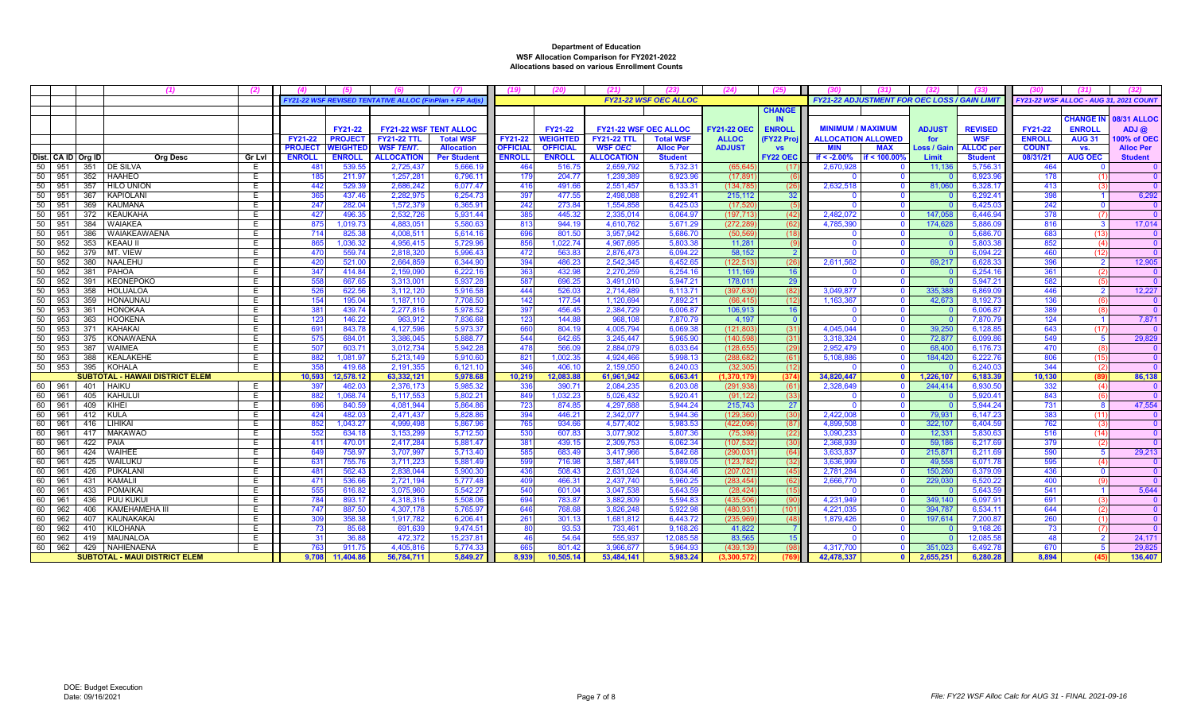|                               | (1)                                    | (2)           |                |                  |                                                      |                      |                 |                  |                              |                              | (24)                 | 725             |                                              |                |                    |                    |                |                                        |                    |
|-------------------------------|----------------------------------------|---------------|----------------|------------------|------------------------------------------------------|----------------------|-----------------|------------------|------------------------------|------------------------------|----------------------|-----------------|----------------------------------------------|----------------|--------------------|--------------------|----------------|----------------------------------------|--------------------|
|                               |                                        |               |                |                  | FY21-22 WSF REVISED TENTATIVE ALLOC (FinPlan + FP Ad |                      |                 |                  |                              | <b>FY21-22 WSF OEC ALLOC</b> |                      |                 | FY21-22 ADJUSTMENT FOR OEC LOSS / GAIN LIMIT |                |                    |                    |                | FY21-22 WSF ALLOC - AUG 31, 2021 COUNT |                    |
|                               |                                        |               |                |                  |                                                      |                      |                 |                  |                              |                              |                      | <b>CHANGE</b>   |                                              |                |                    |                    |                |                                        |                    |
|                               |                                        |               |                |                  |                                                      |                      |                 |                  |                              |                              |                      | <b>IN</b>       |                                              |                |                    |                    |                | <b>CHANGE IN</b>                       | <b>08/31 ALLOC</b> |
|                               |                                        |               |                | <b>FY21-22</b>   | <b>FY21-22 WSF TENT ALLOC</b>                        |                      |                 | FY21-22          | <b>FY21-22 WSF OEC ALLOC</b> |                              | <b>FY21-22 OEC</b>   | <b>ENROLI</b>   | <b>MINIMUM / MAXIMUM</b>                     |                | <b>ADJUST</b>      | <b>REVISED</b>     | <b>FY21-22</b> | <b>ENROLL</b>                          | $ADJ$ $@$          |
|                               |                                        |               | FY21-22        | <b>PROJECT</b>   | <b>FY21-22 TTL</b>                                   | <b>Total WSF</b>     | <b>FY21-22</b>  | <b>WEIGHTED</b>  | <b>FY21-22 TTL</b>           | <b>Total WSF</b>             | <b>ALLOC</b>         | (FY22 Proj      | <b>ALLOCATION ALLOWED</b>                    |                | for                | <b>WSF</b>         | <b>ENROLL</b>  | <b>AUG 31</b>                          | 00% of OEC         |
|                               |                                        |               | <b>PROJECT</b> | <b>WEIGHTED</b>  | <b>WSF TENT.</b>                                     | <b>Allocation</b>    | <b>OFFICIAL</b> | <b>OFFICIAL</b>  | <b>WSF OEC</b>               | <b>Alloc Per</b>             | <b>ADJUST</b>        | <b>VS</b>       | <b>MIN</b>                                   | <b>MAX</b>     | <b>Loss / Gair</b> | <b>ALLOC</b> pe    | <b>COUNT</b>   | VS.                                    | <b>Alloc Per</b>   |
| Dist. CA ID Org ID            | <b>Org Desc</b>                        | <b>Gr Lvl</b> | <b>ENROLL</b>  | <b>ENROLL</b>    | <b>ALLOCATION</b>                                    | <b>Per Student</b>   | <b>ENROLL</b>   | <b>ENROLL</b>    | <b>ALLOCATION</b>            | <b>Student</b>               |                      | <b>FY22 OEC</b> | if $< -2.00%$                                | if < 100.00%   | Limit              | <b>Student</b>     | 08/31/21       | <b>AUG OEC</b>                         | <b>Student</b>     |
| 50<br>951                     | 351   DE SILVA                         | E             |                | 539.55           | 2,725,437                                            | 5,666.19             | 464             | 516.7            | 2,659,792                    | 5,732.3                      | (65, 64)             | - (17           | 2,670,928                                    |                | 11,136             | 5,756.3            | 464            |                                        |                    |
| 50<br>951                     | 352 HAAHEO                             | E             |                | 211.9            | 1,257,28                                             | 6,796.11             | 179             | 204.7            | 1,239,389                    | 6.923.9                      | (17.89)              |                 |                                              |                |                    | 6.923.9            | 178            |                                        |                    |
| 50<br>951                     | 357 HILO UNION                         | E             |                | 529.3            | 2.686.242                                            | 6.077.47             | 416             | 491.66           | 2,551,457                    | 6.133.3                      | (134.78)             | (26)            | 2,632,518                                    |                | 81,060             | 6.328.1            | 413            |                                        |                    |
| 50<br>367<br>951              | KAPIOLANI                              | E             |                | 437.4            | 2,282,975                                            | 6.254.73             | 397             | 477.5            | 2,498,08                     | 6.292.4                      | 215,112              | 32              |                                              |                |                    | 6.292.4            | 398            |                                        | 6,292              |
| 50<br>369<br>951              | KAUMANA                                | E             | 247            | 282.0            | 1,572,379                                            | 6.365.91             | 242             | 273.84           | 1,554,85                     | 6.425.0                      | (17.52)              |                 |                                              |                |                    | 6.425.0            | 242            |                                        |                    |
| 50<br>372<br>951              | KEAUKAHA                               | E             | 427            | 496.3            | 2,532,726                                            | 5.931.44             | 385             | 445.32           | 2.335.014                    | 6,064.9                      | (197.71)             | (42)            | 2,482,072                                    |                | 147.05             | 6.446.9            | 378            |                                        |                    |
| 50<br>951<br>384              | WAIAKEA                                | E             | 875            | 1.019.73         | 4.883.05                                             | 5.580.63             | 813             | 944.1            | 4.610.762                    | 5.671.2                      | (272.28              | (62)            | 4,785,390                                    |                | 174.62             | 5.886.             | 816            |                                        | 17,014             |
| 50<br>951<br>386              | WAIAKEAWAENA                           | E             | 714            | 825.3            | 4,008,51                                             | 5,614.16             | 696             | 801.50           | 3,957,942                    | 5,686.7                      | (50, 56)             | (18)            |                                              |                |                    | 5,686.7            | 683            | (13)                                   | $\Omega$           |
| 50<br>952<br>353              | KEAAU II                               | E             | 865            | 1.036.3          | 4.956.415                                            | 5.729.96             | 856             | 1.022.74         | 4.967.695                    | 5.803.3                      | 11.28                | - (9)           | $\Omega$                                     | - 0            |                    | 5.803.3            | 852            |                                        | $\Omega$           |
| 50<br>952<br>379              | MT. VIEW                               | E             | 470            | 559.74           | 2,818,320                                            | 5,996.43             | 472             | 563.8            | 2,876,473                    | 6,094.22                     | 58.152               | $\overline{2}$  | $\Omega$                                     | - 0            |                    | 6,094.2            | 460            | (12)                                   | $\Omega$           |
| 50<br>952<br>380              | NAALEHU                                | E             | 420            | 521.00           | 2.664.859                                            | 6.344.90             | 394             | 486.23           | 2.542.345                    | 6.452.6                      | (122.51)             | (26)            | 2.611.562                                    | $\overline{0}$ | 69.217             | 6.628.3            | 396            | $\overline{2}$                         | 12.905             |
| 50<br>952<br>381              | <b>PAHOA</b>                           | E             | 347            | 414.84           | 2,159,090                                            | 6,222.16             | 363             | 432.9            | 2,270,259                    | 6,254.16                     | 111.169              | 16              |                                              | - 0            |                    | 6,254.16           | 361            |                                        | $\mathbf{0}$       |
| 50<br>952<br>391              | <b>KEONEPOKO</b>                       | E             | 558            | 667.65           | 3,313,00'                                            | 5.937.28             | 587             | 696.25           | 3,491,010                    | 5,947.21                     | 178.01               | 29              | $\Omega$                                     |                |                    | 5.947.2            | 582            |                                        | $\overline{0}$     |
| 50<br>953                     | 358   HOLUALOA                         | E             | 526            | 622.56           | 3,112,120                                            | 5.916.58             | 444             | 526.0            | 2.714.489                    | 6.113.7'                     | (397.63)             | (82)            | 3,049,877                                    | - 0            | 335.388            | 6.869.0            | 446            |                                        | 12.227             |
| 50<br>953<br>359              | <b>HONAUNAU</b>                        | E             | 154            | 195.04           | 1.187.110                                            | 7.708.50             | 142             | 177.54           | 1.120.694                    | $7.892.2^{\circ}$            | (66.41)              | (12)            | 1,163,367                                    |                | 42.673             | 8.192.7            | 136            |                                        | $\overline{0}$     |
| 50<br>953<br>361              | <b>HONOKAA</b>                         | E             | 381            | 439.74           | 2,277,816                                            | 5,978.52             | 397             | 456.45           | 2,384,729                    | 6,006.87                     | 106.91               | 16              |                                              | - 0            |                    | 6,006.8            | 389            |                                        | $\Omega$           |
| 50<br>953                     | 363 HOOKENA                            | E             | 123            | 146.22           | 963.912                                              | 7.836.68             | 123             | 144.88           | 968.108                      | 7.870.79                     | 4.197                | $\overline{0}$  |                                              |                |                    | 7,870.7            | 124            |                                        | 7,871              |
| 50<br>953                     | 371 KAHAKAI                            | E             | 691            | 843.78           | 4,127,596                                            | 5,973.37             | 660             | 804.1            | 4,005,794                    | 6,069.38                     | (121.80)             | (31)            | 4,045,044                                    |                | 39,250             | 6,128.8            | 643            | (17)                                   |                    |
| 50<br>953                     | 375 KONAWAENA                          | E             | 575            | 684.0            | 3,386,045                                            | 5.888.77             | 544             | 642.6            | 3,245,447                    | 5.965.9                      | (140.59              | (31)            | 3,318,324                                    |                | 72,877             | 6,099.8            | 549            |                                        | 29,829             |
| 50<br>953                     | 387 WAIMEA<br><b>KEALAKEHE</b>         | E             | 507<br>882     | 603.71           | 3,012,734                                            | 5,942.28<br>5.910.60 | 478             | 566.0            | 2,884,079                    | 6,033.64<br>5.998.1          | (128.65)<br>(288.68) | (29             | 2,952,479                                    |                | 68,400             | 6,176.73           | 470            |                                        | $\Omega$           |
| 50<br>953<br>388<br>50<br>953 | 395 KOHALA                             | E             | 358            | 1,081.9<br>419.6 | 5,213,149<br>2.191.355                               | 6.121.10             | 821<br>346      | 1,002.3<br>406.1 | 4,924,466<br>2.159.050       | 6.240.0                      | (32.30)              | (61)<br>(12)    | 5,108,886                                    | - വ            | 184,420            | 6,222.7<br>6.240.0 | 806<br>344     | (15                                    |                    |
|                               | <b>SUBTOTAL - HAWAII DISTRICT ELEM</b> | E             | 10,593         | 12,578.12        | 63.332.121                                           | 5.978.68             | 10,219          | 12.083.8         | 61.961.942                   | 6.063.41                     | (1.370.17)           | (374)           | 34.820.447                                   | - 0            | 1,226,107          | 6.183.39           | 10.130         | - (89)                                 | 86,138             |
| 60<br>961<br>401              | <b>HAIKU</b>                           | E             |                | 462.0            | 2,376,173                                            | 5,985.32             | 336             | 390.7            | 2,084,235                    | 6,203.0                      | (291.93)             | (61             | 2,328,649                                    |                | 244,414            | 6,930.5            | 332            |                                        |                    |
| 60<br>961                     | 405   KAHULUI                          | E             | 882            | 1.068.74         | 5.117.553                                            | 5.802.21             | 849             | 1.032.23         | 5.026.432                    | 5.920.4'                     | (91.122)             | (33)            |                                              | - 0            |                    | 5.920.4            | 843            |                                        | $\overline{0}$     |
| 60<br>961                     | 409 KIHEI                              | E             | 696            | 840.59           | 4,081,944                                            | 5.864.86             | 723             | 874.85           | 4,297,688                    | 5,944.24                     | 215,743              | 27              | $\Omega$                                     | - 0            |                    | 5,944.24           | 731            |                                        | 47,554             |
| 60<br>961                     | 412 KULA                               | E             | 424            | 482.0            | 2.471.437                                            | 5.828.86             | 394             | 446.21           | 2.342.077                    | 5.944.3                      | (129.36)             | (30)            | 2.422.008                                    | - 0            | 79.931             | 6.147.23           | 383            | (11)                                   | $\Omega$           |
| 60<br>961                     | 416 LIHIKAI                            | Ε             | 852            | 1.043.27         | 4.999.498                                            | 5.867.96             | 765             | 934.66           | 4,577,402                    | 5.983.53                     | (422.09)             | (87)            | 4.899.508                                    | - 0            | 322.107            | 6,404.59           | 762            |                                        |                    |
| 60<br>961<br>417              | I MAKAWAO                              | E             | 552            | 634.18           | 3.153.299                                            | 5.712.50             | 530             | 607.83           | 3.077.902                    | 5.807.3                      | (75.39)              | (22)            | 3.090.233                                    |                | 12,33'             | 5.830.6            | 516            | (14)                                   |                    |
| 60<br>961                     | 422 PAIA                               | E             | 411            | 470.01           | 2,417,284                                            | 5,881.47             | 381             | 439.15           | 2,309,753                    | 6,062.3                      | (107, 53)            | (30             | 2,368,939                                    |                | 59,186             | 6,217.69           | 379            |                                        |                    |
| 60<br>961                     | 424 WAIHEE                             | E             | 649            | 758.97           | 3.707.997                                            | 5.713.40             | 585             | 683.49           | 3.417.966                    | 5.842.6                      | (290.03)             | (64)            | 3.633.837                                    |                | 215.871            | 6.211.69           | 590            |                                        | 29,213             |
| 60<br>961                     | 425 WAILUKU                            | E             | 631            | 755.76           | 3,711,223                                            | 5,881.49             | 599             | 716.98           | 3,587,441                    | 5,989.0                      | (123, 78)            | (32)            | 3,636,999                                    |                | 49,55              | 6,071.78           | 595            |                                        |                    |
| 60<br>426<br>961              | PUKALANI                               | Ε             | 481            | 562.43           | 2,838,044                                            | 5,900.30             | 436             | 508.43           | 2,631,024                    | 6,034.4                      | (207, 02)            | (45)            | 2,781,284                                    |                | 150,26             | 6,379.0            | 436            |                                        |                    |
| 60<br>961<br>431              | KAMALII                                | E             | 471            | 536.66           | 2,721,194                                            | 5.777.48             | 409             | 466.3            | 2,437,740                    | 5,960.2                      | (283.45              | (62)            | 2,666,770                                    |                | 229.030            | 6.520.2            | 400            |                                        |                    |
| 60<br>433<br>961              | POMAIKAI                               | E             | 555            | 616.82           | 3,075,960                                            | 5,542.27             | 540             | 601.04           | 3,047,538                    | 5,643.5                      | (28, 42)             | (15)            |                                              |                |                    | 5,643.5            | 541            |                                        | 5,644              |
| 60<br>961                     | 436 PUU KUKUI                          | Ε             | 784            | 893.17           | 4.318.316                                            | 5.508.06             | 694             | 783.87           | 3.882.80                     | 5.594.8                      | (435.50)             | (90             | 4.231.949                                    |                | 349.140            | 6.097.9            | 691            |                                        |                    |
| 60<br>962<br>406              | KAMEHAMEHA III                         | E             | 747            | 887.50           | 4,307,178                                            | 5,765.97             | 646             | 768.68           | 3,826,248                    | 5,922.9                      | (480.93              | (101)           | 4,221,035                                    |                | 394,787            | 6,534.1            | 644            |                                        |                    |
| 60<br>962                     | 407   KAUNAKAKAI                       | E             | 309            | 358.38           | 1,917,782                                            | 6,206.41             | 261             | 301.13           | 1,681,812                    | 6,443.72                     | (235, 96)            | (48)            | 1,879,426                                    |                | 197,614            | 7,200.8            | 260            |                                        |                    |
| 60<br>962                     | 410   KILOHANA                         | E             |                | 85.68            | 691,639                                              | 9.474.51             |                 | 93.53            | 733,461                      | 9,168.2                      | 41.822               |                 |                                              |                |                    | 9,168.26           | -73            |                                        |                    |
| 60<br>962                     | 419   MAUNALOA                         | E             | 3 <sup>1</sup> | 36.8             | 472,372                                              | 15,237.81            |                 | 54.64            | 555,937                      | 12,085.58                    | 83.565               | 15              |                                              |                |                    | 12.085.58          | 48             |                                        | 24,171             |
| 60<br>962                     | 429   NAHIENAENA                       | F.            | 763            | 911.75           | 4.405.816                                            | 5.774.33             | 665             | 801.42           | 3.966.677                    | 5,964.9                      | (439.13)             | (98)            | 4,317,700                                    |                | 351.02             | 6.492.78           | 670            |                                        | 29,825             |
|                               | <b>SUBTOTAL - MAUI DISTRICT ELEM</b>   |               | 9.708          | 11,404.86        | 56,784,711                                           | 5.849.27             | 8.939           | 10,505.14        | 53,484,141                   | 5,983.24                     | (3.300.572           | (769            | 42.478.337                                   |                | 2.655.251          | 6,280.28           | 8.894          |                                        | 136,407            |